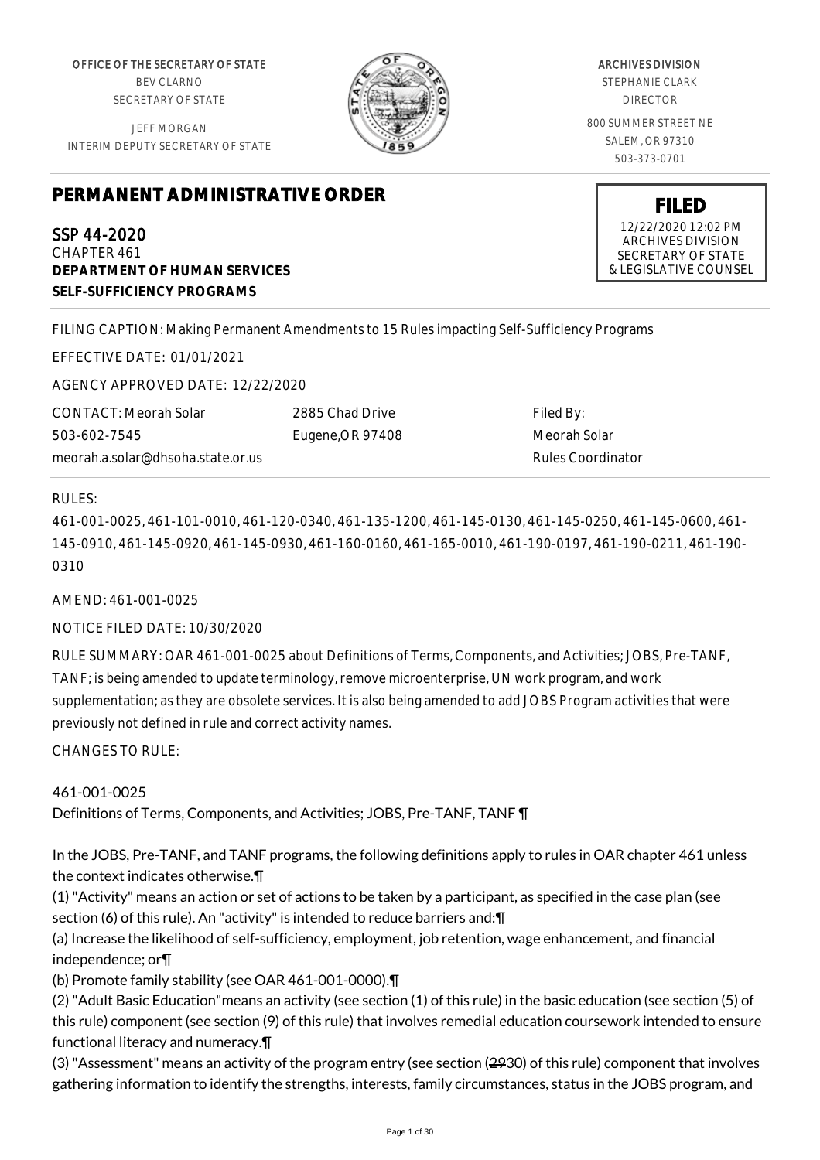OFFICE OF THE SECRETARY OF STATE BEV CLARNO SECRETARY OF STATE

JEFF MORGAN INTERIM DEPUTY SECRETARY OF STATE



ARCHIVES DIVISION STEPHANIE CLARK DIRECTOR 800 SUMMER STREET NE SALEM, OR 97310 503-373-0701

## **PERMANENT ADMINISTRATIVE ORDER**

SSP 44-2020 CHAPTER 461 **DEPARTMENT OF HUMAN SERVICES SELF-SUFFICIENCY PROGRAMS**

FILING CAPTION: Making Permanent Amendments to 15 Rules impacting Self-Sufficiency Programs

EFFECTIVE DATE: 01/01/2021

AGENCY APPROVED DATE: 12/22/2020

CONTACT: Meorah Solar 503-602-7545 meorah.a.solar@dhsoha.state.or.us 2885 Chad Drive Eugene,OR 97408

Filed By: Meorah Solar Rules Coordinator

## RULES:

461-001-0025, 461-101-0010, 461-120-0340, 461-135-1200, 461-145-0130, 461-145-0250, 461-145-0600, 461- 145-0910, 461-145-0920, 461-145-0930, 461-160-0160, 461-165-0010, 461-190-0197, 461-190-0211, 461-190- 0310

AMEND: 461-001-0025

NOTICE FILED DATE: 10/30/2020

RULE SUMMARY: OAR 461-001-0025 about Definitions of Terms, Components, and Activities; JOBS, Pre-TANF, TANF; is being amended to update terminology, remove microenterprise, UN work program, and work supplementation; as they are obsolete services. It is also being amended to add JOBS Program activities that were previously not defined in rule and correct activity names.

 $CHANGFS TO RUIF$ 

461-001-0025 Definitions of Terms, Components, and Activities; JOBS, Pre-TANF, TANF ¶

In the JOBS, Pre-TANF, and TANF programs, the following definitions apply to rules in OAR chapter 461 unless the context indicates otherwise.¶

(1) "Activity" means an action or set of actions to be taken by a participant, as specified in the case plan (see section (6) of this rule). An "activity" is intended to reduce barriers and: [1]

(a) Increase the likelihood of self-sufficiency, employment, job retention, wage enhancement, and financial independence; or¶

(b) Promote family stability (see OAR 461-001-0000).¶

(2) "Adult Basic Education"means an activity (see section (1) of this rule) in the basic education (see section (5) of this rule) component (see section (9) of this rule) that involves remedial education coursework intended to ensure functional literacy and numeracy.¶

(3) "Assessment" means an activity of the program entry (see section (2930) of this rule) component that involves gathering information to identify the strengths, interests, family circumstances, status in the JOBS program, and

**FILED**

12/22/2020 12:02 PM ARCHIVES DIVISION SECRETARY OF STATE & LEGISLATIVE COUNSEL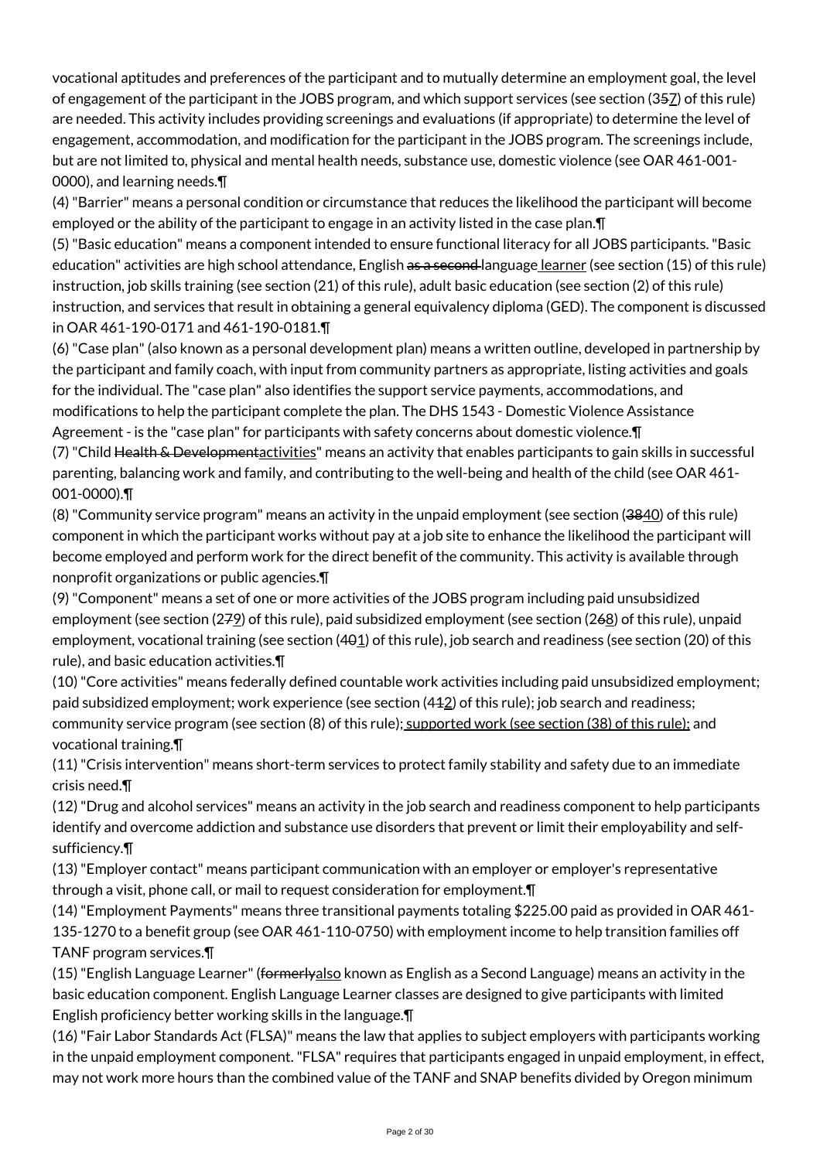vocational aptitudes and preferences of the participant and to mutually determine an employment goal, the level of engagement of the participant in the JOBS program, and which support services (see section (357) of this rule) are needed. This activity includes providing screenings and evaluations (if appropriate) to determine the level of engagement, accommodation, and modification for the participant in the JOBS program. The screenings include, but are not limited to, physical and mental health needs, substance use, domestic violence (see OAR 461-001- 0000), and learning needs.¶

(4) "Barrier" means a personal condition or circumstance that reduces the likelihood the participant will become employed or the ability of the participant to engage in an activity listed in the case plan.¶

(5) "Basic education" means a component intended to ensure functional literacy for all JOBS participants. "Basic education" activities are high school attendance, English as a second language learner (see section (15) of this rule) instruction, job skills training (see section (21) of this rule), adult basic education (see section (2) of this rule) instruction, and services that result in obtaining a general equivalency diploma (GED). The component is discussed in OAR 461-190-0171 and 461-190-0181.¶

(6) "Case plan" (also known as a personal development plan) means a written outline, developed in partnership by the participant and family coach, with input from community partners as appropriate, listing activities and goals for the individual. The "case plan" also identifies the support service payments, accommodations, and modifications to help the participant complete the plan. The DHS 1543 - Domestic Violence Assistance Agreement - is the "case plan" for participants with safety concerns about domestic violence.¶

(7) "Child Health & Developmentactivities" means an activity that enables participants to gain skills in successful parenting, balancing work and family, and contributing to the well-being and health of the child (see OAR 461- 001-0000).¶

(8) "Community service program" means an activity in the unpaid employment (see section (3840) of this rule) component in which the participant works without pay at a job site to enhance the likelihood the participant will become employed and perform work for the direct benefit of the community. This activity is available through nonprofit organizations or public agencies.¶

(9) "Component" means a set of one or more activities of the JOBS program including paid unsubsidized employment (see section (279) of this rule), paid subsidized employment (see section (268) of this rule), unpaid employment, vocational training (see section  $(401)$  of this rule), job search and readiness (see section (20) of this rule), and basic education activities.¶

(10) "Core activities" means federally defined countable work activities including paid unsubsidized employment; paid subsidized employment; work experience (see section (412) of this rule); job search and readiness; community service program (see section (8) of this rule); supported work (see section (38) of this rule); and vocational training.¶

(11) "Crisis intervention" means short-term services to protect family stability and safety due to an immediate crisis need.¶

(12) "Drug and alcohol services" means an activity in the job search and readiness component to help participants identify and overcome addiction and substance use disorders that prevent or limit their employability and selfsufficiency.¶

(13) "Employer contact" means participant communication with an employer or employer's representative through a visit, phone call, or mail to request consideration for employment.¶

(14) "Employment Payments" means three transitional payments totaling \$225.00 paid as provided in OAR 461- 135-1270 to a benefit group (see OAR 461-110-0750) with employment income to help transition families off TANF program services.¶

(15) "English Language Learner" (formerlyalso known as English as a Second Language) means an activity in the basic education component. English Language Learner classes are designed to give participants with limited English proficiency better working skills in the language.¶

(16) "Fair Labor Standards Act (FLSA)" means the law that applies to subject employers with participants working in the unpaid employment component. "FLSA" requires that participants engaged in unpaid employment, in effect, may not work more hours than the combined value of the TANF and SNAP benefits divided by Oregon minimum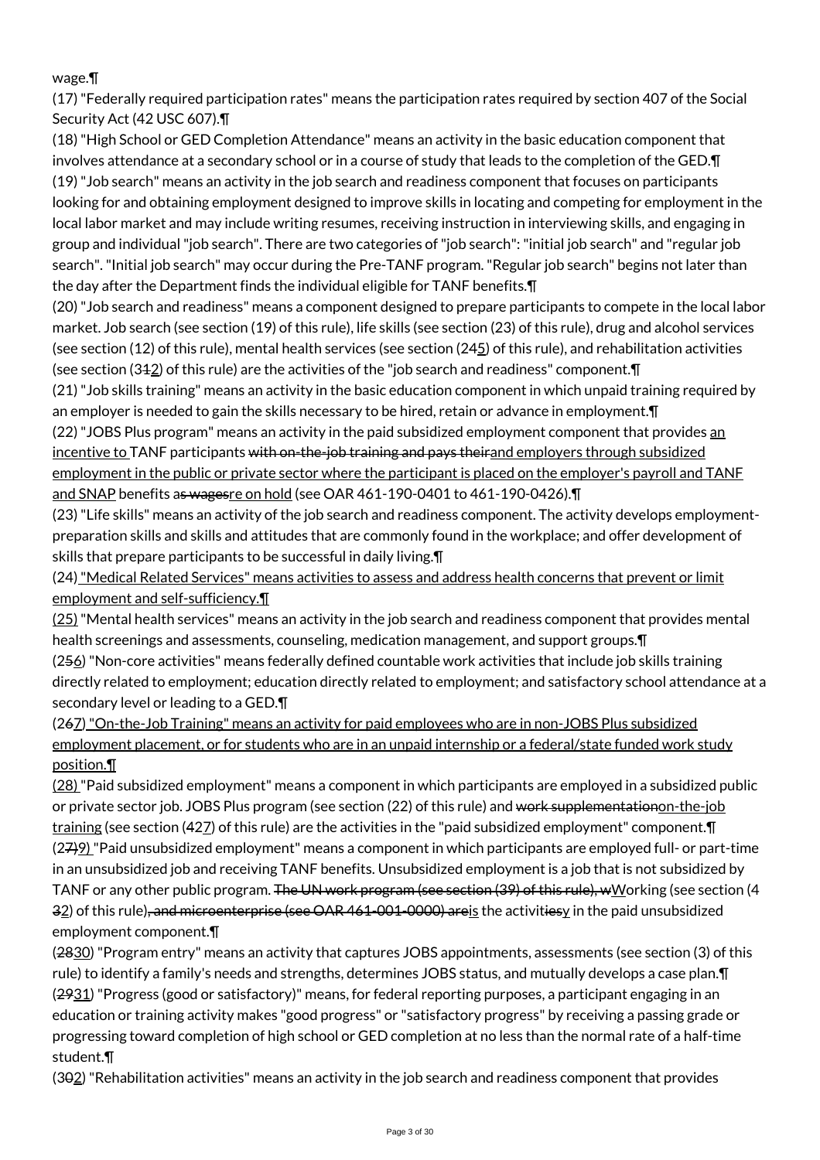## wage.¶

(17) "Federally required participation rates" means the participation rates required by section 407 of the Social Security Act (42 USC 607).¶

(18) "High School or GED Completion Attendance" means an activity in the basic education component that involves attendance at a secondary school or in a course of study that leads to the completion of the GED.¶ (19) "Job search" means an activity in the job search and readiness component that focuses on participants looking for and obtaining employment designed to improve skills in locating and competing for employment in the local labor market and may include writing resumes, receiving instruction in interviewing skills, and engaging in group and individual "job search". There are two categories of "job search": "initial job search" and "regular job search". "Initial job search" may occur during the Pre-TANF program. "Regular job search" begins not later than the day after the Department finds the individual eligible for TANF benefits.¶

(20) "Job search and readiness" means a component designed to prepare participants to compete in the local labor market. Job search (see section (19) of this rule), life skills (see section (23) of this rule), drug and alcohol services (see section (12) of this rule), mental health services (see section (24 $\leq$ ) of this rule), and rehabilitation activities (see section (312) of this rule) are the activities of the "job search and readiness" component.¶

(21) "Job skills training" means an activity in the basic education component in which unpaid training required by an employer is needed to gain the skills necessary to be hired, retain or advance in employment.¶

(22) "JOBS Plus program" means an activity in the paid subsidized employment component that provides an incentive to TANF participants with on-the-job training and pays theirand employers through subsidized employment in the public or private sector where the participant is placed on the employer's payroll and TANF and SNAP benefits as wagesre on hold (see OAR 461-190-0401 to 461-190-0426).

(23) "Life skills" means an activity of the job search and readiness component. The activity develops employmentpreparation skills and skills and attitudes that are commonly found in the workplace; and offer development of skills that prepare participants to be successful in daily living.¶

(24) "Medical Related Services" means activities to assess and address health concerns that prevent or limit employment and self-sufficiency.¶

(25) "Mental health services" means an activity in the job search and readiness component that provides mental health screenings and assessments, counseling, medication management, and support groups.¶

(256) "Non-core activities" means federally defined countable work activities that include job skills training directly related to employment; education directly related to employment; and satisfactory school attendance at a secondary level or leading to a GED.¶

(267) "On-the-Job Training" means an activity for paid employees who are in non-JOBS Plus subsidized employment placement, or for students who are in an unpaid internship or a federal/state funded work study position.¶

(28) "Paid subsidized employment" means a component in which participants are employed in a subsidized public or private sector job. JOBS Plus program (see section (22) of this rule) and work supplementationon-the-job training (see section (427) of this rule) are the activities in the "paid subsidized employment" component.¶ (27)9) "Paid unsubsidized employment" means a component in which participants are employed full- or part-time in an unsubsidized job and receiving TANF benefits. Unsubsidized employment is a job that is not subsidized by TANF or any other public program. The UN work program (see section (39) of this rule), wWorking (see section (4 32) of this rule), and microenterprise (see OAR 461-001-0000) areis the activitiesy in the paid unsubsidized employment component.¶

(2830) "Program entry" means an activity that captures JOBS appointments, assessments (see section (3) of this rule) to identify a family's needs and strengths, determines JOBS status, and mutually develops a case plan.¶ (2931) "Progress (good or satisfactory)" means, for federal reporting purposes, a participant engaging in an education or training activity makes "good progress" or "satisfactory progress" by receiving a passing grade or progressing toward completion of high school or GED completion at no less than the normal rate of a half-time student.¶

(302) "Rehabilitation activities" means an activity in the job search and readiness component that provides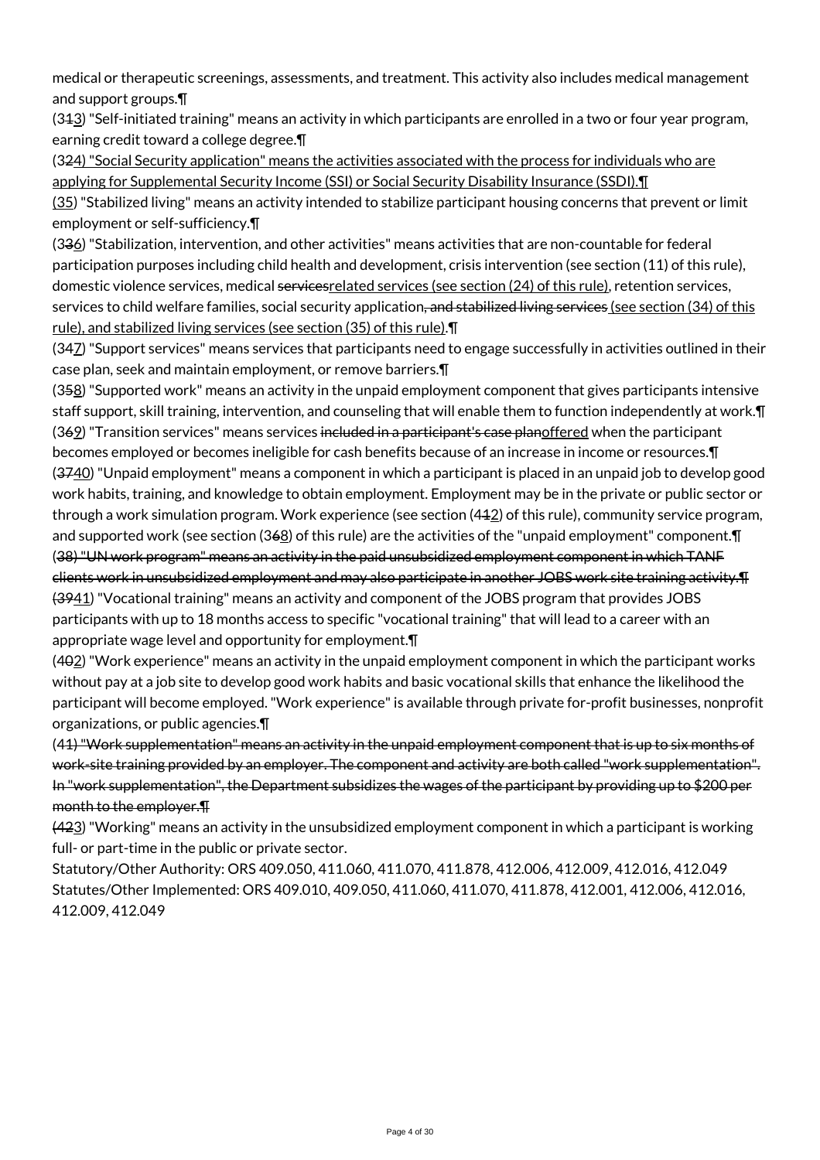medical or therapeutic screenings, assessments, and treatment. This activity also includes medical management and support groups.¶

(313) "Self-initiated training" means an activity in which participants are enrolled in a two or four year program, earning credit toward a college degree.¶

(324) "Social Security application" means the activities associated with the process for individuals who are applying for Supplemental Security Income (SSI) or Social Security Disability Insurance (SSDI). I

(35) "Stabilized living" means an activity intended to stabilize participant housing concerns that prevent or limit employment or self-sufficiency.¶

(336) "Stabilization, intervention, and other activities" means activities that are non-countable for federal participation purposes including child health and development, crisis intervention (see section (11) of this rule), domestic violence services, medical servicesrelated services (see section (24) of this rule), retention services, services to child welfare families, social security application<del>, and stabilized living services (see</del> section (34) of this rule), and stabilized living services (see section (35) of this rule).¶

(347) "Support services" means services that participants need to engage successfully in activities outlined in their case plan, seek and maintain employment, or remove barriers.¶

(358) "Supported work" means an activity in the unpaid employment component that gives participants intensive staff support, skill training, intervention, and counseling that will enable them to function independently at work.¶ (369) "Transition services" means services included in a participant's case planoffered when the participant becomes employed or becomes ineligible for cash benefits because of an increase in income or resources.¶ (3740) "Unpaid employment" means a component in which a participant is placed in an unpaid job to develop good work habits, training, and knowledge to obtain employment. Employment may be in the private or public sector or through a work simulation program. Work experience (see section (412) of this rule), community service program, and supported work (see section (368) of this rule) are the activities of the "unpaid employment" component.¶ (38) "UN work program" means an activity in the paid unsubsidized employment component in which TANF clients work in unsubsidized employment and may also participate in another JOBS work site training activity.¶ (3941) "Vocational training" means an activity and component of the JOBS program that provides JOBS participants with up to 18 months access to specific "vocational training" that will lead to a career with an appropriate wage level and opportunity for employment.¶

(402) "Work experience" means an activity in the unpaid employment component in which the participant works without pay at a job site to develop good work habits and basic vocational skills that enhance the likelihood the participant will become employed. "Work experience" is available through private for-profit businesses, nonprofit organizations, or public agencies.¶

(41) "Work supplementation" means an activity in the unpaid employment component that is up to six months of work-site training provided by an employer. The component and activity are both called "work supplementation". In "work supplementation", the Department subsidizes the wages of the participant by providing up to \$200 per month to the employer.¶

(423) "Working" means an activity in the unsubsidized employment component in which a participant is working full- or part-time in the public or private sector.

Statutory/Other Authority: ORS 409.050, 411.060, 411.070, 411.878, 412.006, 412.009, 412.016, 412.049 Statutes/Other Implemented: ORS 409.010, 409.050, 411.060, 411.070, 411.878, 412.001, 412.006, 412.016, 412.009, 412.049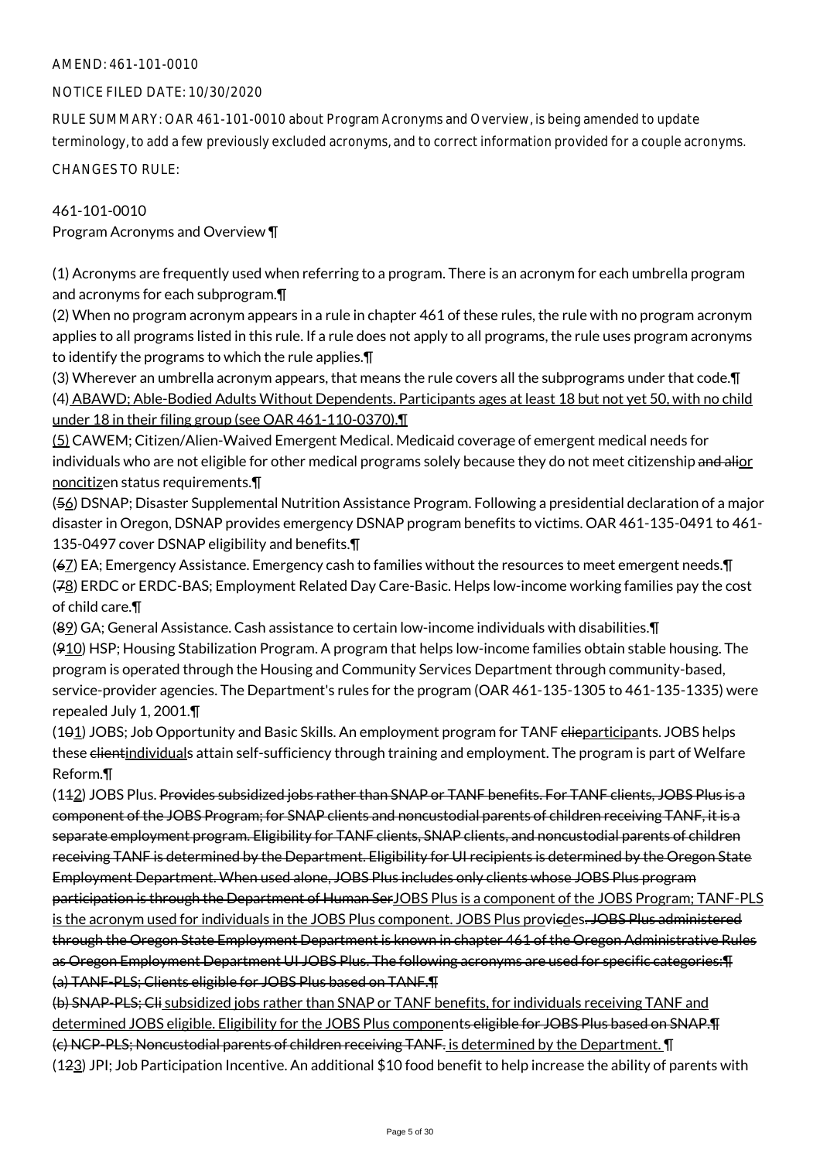## AMEND: 461-101-0010

#### NOTICE FILED DATE: 10/30/2020

RULE SUMMARY: OAR 461-101-0010 about Program Acronyms and Overview, is being amended to update terminology, to add a few previously excluded acronyms, and to correct information provided for a couple acronyms.

CHANGES TO RULE:

## 461-101-0010

Program Acronyms and Overview ¶

(1) Acronyms are frequently used when referring to a program. There is an acronym for each umbrella program and acronyms for each subprogram.¶

(2) When no program acronym appears in a rule in chapter 461 of these rules, the rule with no program acronym applies to all programs listed in this rule. If a rule does not apply to all programs, the rule uses program acronyms to identify the programs to which the rule applies.¶

(3) Wherever an umbrella acronym appears, that means the rule covers all the subprograms under that code.¶ (4) ABAWD; Able-Bodied Adults Without Dependents. Participants ages at least 18 but not yet 50, with no child under 18 in their filing group (see OAR 461-110-0370).¶

(5) CAWEM; Citizen/Alien-Waived Emergent Medical. Medicaid coverage of emergent medical needs for individuals who are not eligible for other medical programs solely because they do not meet citizenship and alior noncitizen status requirements.¶

(56) DSNAP; Disaster Supplemental Nutrition Assistance Program. Following a presidential declaration of a major disaster in Oregon, DSNAP provides emergency DSNAP program benefits to victims. OAR 461-135-0491 to 461- 135-0497 cover DSNAP eligibility and benefits.¶

(67) EA; Emergency Assistance. Emergency cash to families without the resources to meet emergent needs.¶ (78) ERDC or ERDC-BAS; Employment Related Day Care-Basic. Helps low-income working families pay the cost of child care.¶

(89) GA; General Assistance. Cash assistance to certain low-income individuals with disabilities.¶

 $(910)$  HSP; Housing Stabilization Program. A program that helps low-income families obtain stable housing. The program is operated through the Housing and Community Services Department through community-based, service-provider agencies. The Department's rules for the program (OAR 461-135-1305 to 461-135-1335) were repealed July 1, 2001.¶

(101) JOBS; Job Opportunity and Basic Skills. An employment program for TANF elieparticipants. JOBS helps these client individuals attain self-sufficiency through training and employment. The program is part of Welfare Reform.¶

(112) JOBS Plus. Provides subsidized jobs rather than SNAP or TANF benefits. For TANF clients, JOBS Plus is a component of the JOBS Program; for SNAP clients and noncustodial parents of children receiving TANF, it is a separate employment program. Eligibility for TANF clients, SNAP clients, and noncustodial parents of children receiving TANF is determined by the Department. Eligibility for UI recipients is determined by the Oregon State Employment Department. When used alone, JOBS Plus includes only clients whose JOBS Plus program participation is through the Department of Human SerJOBS Plus is a component of the JOBS Program; TANF-PLS is the acronym used for individuals in the JOBS Plus component. JOBS Plus proviedes. JOBS Plus administered through the Oregon State Employment Department is known in chapter 461 of the Oregon Administrative Rules as Oregon Employment Department UI JOBS Plus. The following acronyms are used for specific categories:¶ (a) TANF-PLS; Clients eligible for JOBS Plus based on TANF.¶

(b) SNAP-PLS; Cli subsidized jobs rather than SNAP or TANF benefits, for individuals receiving TANF and determined JOBS eligible. Eligibility for the JOBS Plus components eligible for JOBS Plus based on SNAP.¶ (c) NCP-PLS; Noncustodial parents of children receiving TANF. is determined by the Department. ¶ (123) JPI; Job Participation Incentive. An additional \$10 food benefit to help increase the ability of parents with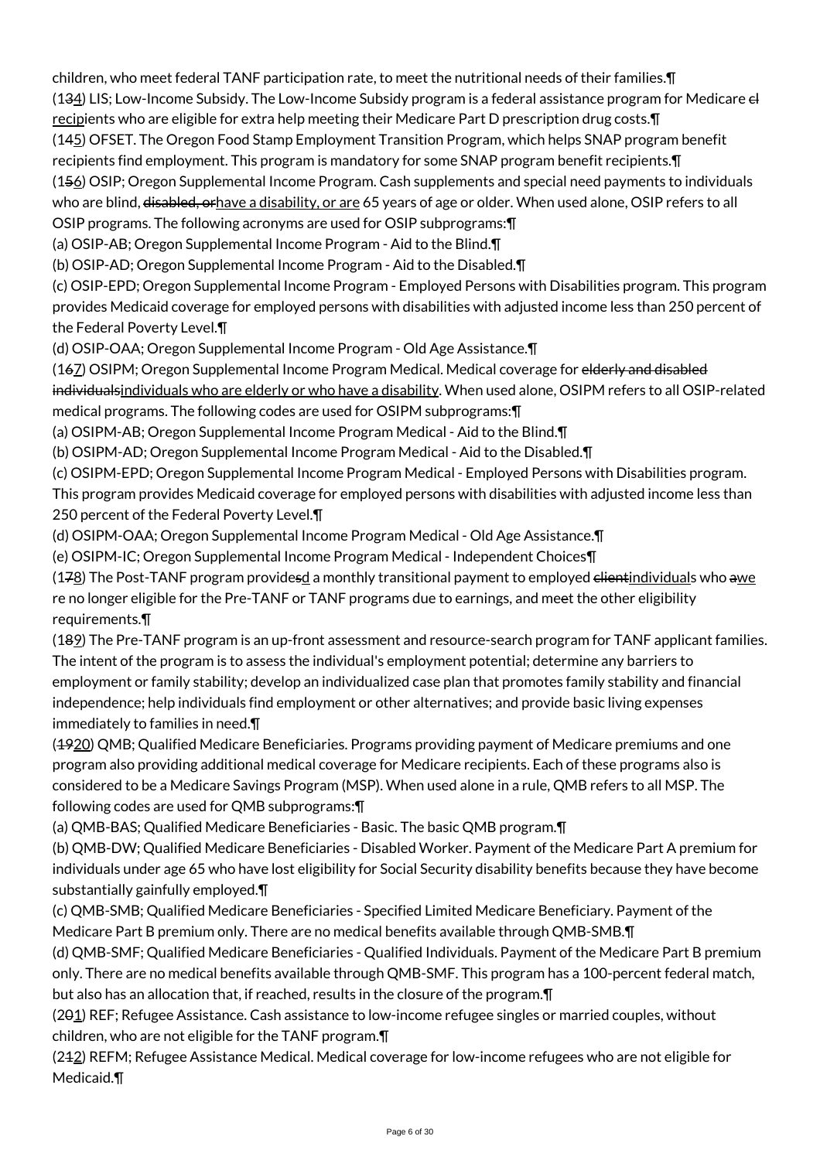children, who meet federal TANF participation rate, to meet the nutritional needs of their families.¶ (134) LIS; Low-Income Subsidy. The Low-Income Subsidy program is a federal assistance program for Medicare el recipients who are eligible for extra help meeting their Medicare Part D prescription drug costs.¶ (145) OFSET. The Oregon Food Stamp Employment Transition Program, which helps SNAP program benefit recipients find employment. This program is mandatory for some SNAP program benefit recipients.¶ (156) OSIP; Oregon Supplemental Income Program. Cash supplements and special need payments to individuals who are blind, disabled, orhave a disability, or are 65 years of age or older. When used alone, OSIP refers to all OSIP programs. The following acronyms are used for OSIP subprograms:¶

(a) OSIP-AB; Oregon Supplemental Income Program - Aid to the Blind.¶

(b) OSIP-AD; Oregon Supplemental Income Program - Aid to the Disabled.¶

(c) OSIP-EPD; Oregon Supplemental Income Program - Employed Persons with Disabilities program. This program provides Medicaid coverage for employed persons with disabilities with adjusted income less than 250 percent of the Federal Poverty Level.¶

(d) OSIP-OAA; Oregon Supplemental Income Program - Old Age Assistance.¶

(167) OSIPM; Oregon Supplemental Income Program Medical. Medical coverage for elderly and disabled individualsindividuals who are elderly or who have a disability. When used alone, OSIPM refers to all OSIP-related medical programs. The following codes are used for OSIPM subprograms:¶

(a) OSIPM-AB; Oregon Supplemental Income Program Medical - Aid to the Blind.¶

(b) OSIPM-AD; Oregon Supplemental Income Program Medical - Aid to the Disabled.¶

(c) OSIPM-EPD; Oregon Supplemental Income Program Medical - Employed Persons with Disabilities program.

This program provides Medicaid coverage for employed persons with disabilities with adjusted income less than 250 percent of the Federal Poverty Level.¶

(d) OSIPM-OAA; Oregon Supplemental Income Program Medical - Old Age Assistance.¶

(e) OSIPM-IC; Oregon Supplemental Income Program Medical - Independent Choices¶

 $(178)$  The Post-TANF program providesd a monthly transitional payment to employed <del>clientindividual</del>s who awe re no longer eligible for the Pre-TANF or TANF programs due to earnings, and meet the other eligibility requirements.¶

(189) The Pre-TANF program is an up-front assessment and resource-search program for TANF applicant families. The intent of the program is to assess the individual's employment potential; determine any barriers to employment or family stability; develop an individualized case plan that promotes family stability and financial independence; help individuals find employment or other alternatives; and provide basic living expenses immediately to families in need.¶

(4920) QMB; Qualified Medicare Beneficiaries. Programs providing payment of Medicare premiums and one program also providing additional medical coverage for Medicare recipients. Each of these programs also is considered to be a Medicare Savings Program (MSP). When used alone in a rule, QMB refers to all MSP. The following codes are used for QMB subprograms:¶

(a) QMB-BAS; Qualified Medicare Beneficiaries - Basic. The basic QMB program.¶

(b) QMB-DW; Qualified Medicare Beneficiaries - Disabled Worker. Payment of the Medicare Part A premium for individuals under age 65 who have lost eligibility for Social Security disability benefits because they have become substantially gainfully employed.¶

(c) QMB-SMB; Qualified Medicare Beneficiaries - Specified Limited Medicare Beneficiary. Payment of the Medicare Part B premium only. There are no medical benefits available through QMB-SMB.¶

(d) QMB-SMF; Qualified Medicare Beneficiaries - Qualified Individuals. Payment of the Medicare Part B premium only. There are no medical benefits available through QMB-SMF. This program has a 100-percent federal match, but also has an allocation that, if reached, results in the closure of the program.¶

(201) REF; Refugee Assistance. Cash assistance to low-income refugee singles or married couples, without children, who are not eligible for the TANF program.¶

(212) REFM; Refugee Assistance Medical. Medical coverage for low-income refugees who are not eligible for Medicaid.¶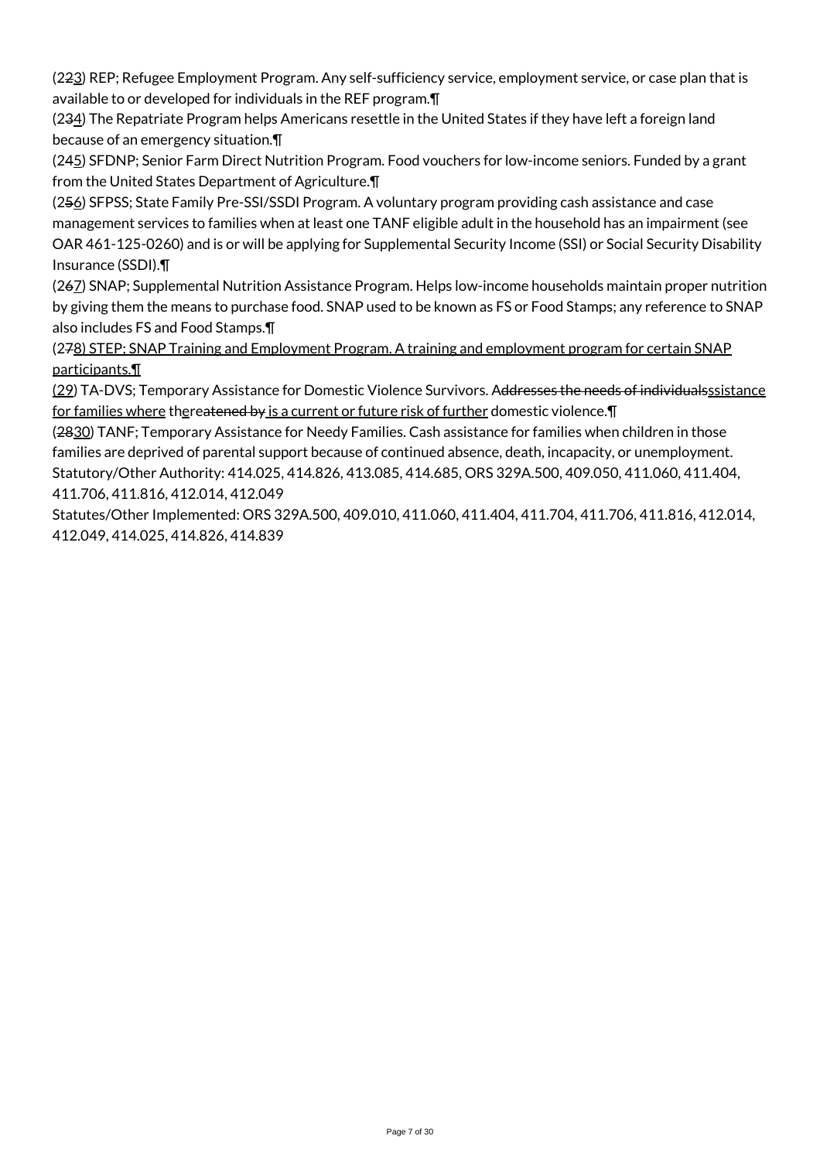(223) REP; Refugee Employment Program. Any self-sufficiency service, employment service, or case plan that is available to or developed for individuals in the REF program.¶

(234) The Repatriate Program helps Americans resettle in the United States if they have left a foreign land because of an emergency situation.¶

(245) SFDNP; Senior Farm Direct Nutrition Program. Food vouchers for low-income seniors. Funded by a grant from the United States Department of Agriculture.¶

(256) SFPSS; State Family Pre-SSI/SSDI Program. A voluntary program providing cash assistance and case management services to families when at least one TANF eligible adult in the household has an impairment (see OAR 461-125-0260) and is or will be applying for Supplemental Security Income (SSI) or Social Security Disability Insurance (SSDI).¶

(267) SNAP; Supplemental Nutrition Assistance Program. Helps low-income households maintain proper nutrition by giving them the means to purchase food. SNAP used to be known as FS or Food Stamps; any reference to SNAP also includes FS and Food Stamps.¶

(278) STEP; SNAP Training and Employment Program. A training and employment program for certain SNAP participants.¶

(29) TA-DVS; Temporary Assistance for Domestic Violence Survivors. Addresses the needs of individualsssistance for families where thereatened by is a current or future risk of further domestic violence.¶

(2830) TANF; Temporary Assistance for Needy Families. Cash assistance for families when children in those families are deprived of parental support because of continued absence, death, incapacity, or unemployment. Statutory/Other Authority: 414.025, 414.826, 413.085, 414.685, ORS 329A.500, 409.050, 411.060, 411.404, 411.706, 411.816, 412.014, 412.049

Statutes/Other Implemented: ORS 329A.500, 409.010, 411.060, 411.404, 411.704, 411.706, 411.816, 412.014, 412.049, 414.025, 414.826, 414.839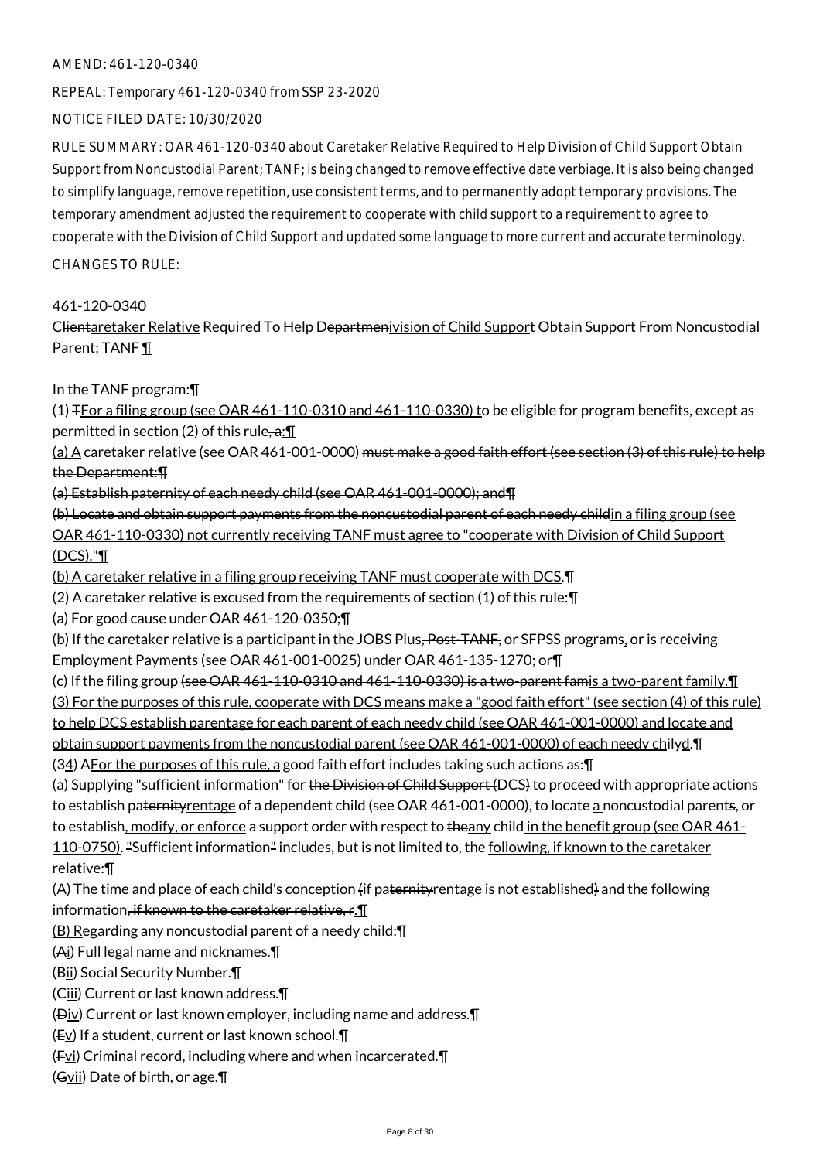#### AMEND: 461-120-0340

REPEAL: Temporary 461-120-0340 from SSP 23-2020

## NOTICE FILED DATE: 10/30/2020

RULE SUMMARY: OAR 461-120-0340 about Caretaker Relative Required to Help Division of Child Support Obtain Support from Noncustodial Parent; TANF; is being changed to remove effective date verbiage. It is also being changed to simplify language, remove repetition, use consistent terms, and to permanently adopt temporary provisions. The temporary amendment adjusted the requirement to cooperate with child support to a requirement to agree to cooperate with the Division of Child Support and updated some language to more current and accurate terminology.

## CHANGES TO RULE:

## 461-120-0340

Clientaretaker Relative Required To Help Departmenivision of Child Support Obtain Support From Noncustodial Parent; TANF ¶

## In the TANF program:¶

(1)  $F$  or a filing group (see OAR 461-110-0310 and 461-110-0330) to be eligible for program benefits, except as permitted in section (2) of this rule-a:  $\P$ 

(a) A caretaker relative (see OAR 461-001-0000) <del>must make a good faith effort (see section (3) of this rule) to help</del> the Department:¶

(a) Establish paternity of each needy child (see OAR 461-001-0000); and¶

(b) Locate and obtain support payments from the noncustodial parent of each needy childin a filing group (see OAR 461-110-0330) not currently receiving TANF must agree to "cooperate with Division of Child Support (DCS)."¶

(b) A caretaker relative in a filing group receiving TANF must cooperate with DCS.¶

(2) A caretaker relative is excused from the requirements of section (1) of this rule:¶

(a) For good cause under OAR 461-120-0350;¶

(b) If the caretaker relative is a participant in the JOBS Plus, Post-TANF, or SFPSS programs, or is receiving Employment Payments (see OAR 461-001-0025) under OAR 461-135-1270; or¶

(c) If the filing group (see OAR 461-110-0310 and 461-110-0330) is a two-parent famis a two-parent family.¶ (3) For the purposes of this rule, cooperate with DCS means make a "good faith effort" (see section (4) of this rule) to help DCS establish parentage for each parent of each needy child (see OAR 461-001-0000) and locate and obtain support payments from the noncustodial parent (see OAR 461-001-0000) of each needy chilyd.¶ (34) AFor the purposes of this rule, a good faith effort includes taking such actions as:¶

(a) Supplying "sufficient information" for the Division of Child Support (DCS) to proceed with appropriate actions to establish paternityrentage of a dependent child (see OAR 461-001-0000), to locate a noncustodial parents, or to establish, modify, or enforce a support order with respect to theany child in the benefit group (see OAR 461-110-0750). "Sufficient information" includes, but is not limited to, the following, if known to the caretaker relative:¶

(A) The time and place of each child's conception (if paternity rentage is not established) and the following information<del>, if known to the caretaker relative, r</del>. II

(B) Regarding any noncustodial parent of a needy child:¶

(Ai) Full legal name and nicknames.¶

(Bii) Social Security Number.¶

(Ciii) Current or last known address.¶

(Div) Current or last known employer, including name and address.¶

- (Ev) If a student, current or last known school.¶
- $(Fvi)$  Criminal record, including where and when incarcerated. $\P$

(Gvii) Date of birth, or age.¶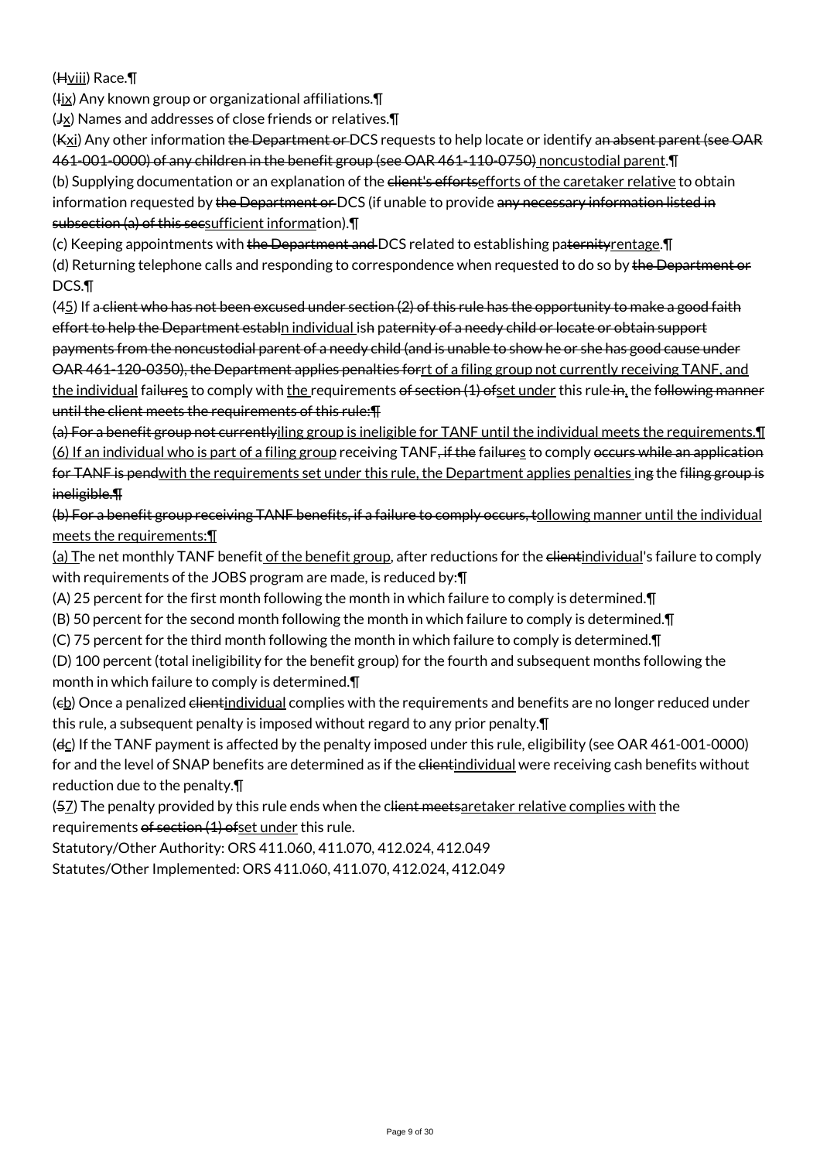(Hviii) Race.¶

 $(Hix)$  Any known group or organizational affiliations. $\P$ 

 $(\frac{Jx}{x})$  Names and addresses of close friends or relatives.  $\P$ 

(Kxi) Any other information the Department or DCS requests to help locate or identify an absent parent (see OAR 461-001-0000) of any children in the benefit group (see OAR 461-110-0750) noncustodial parent.¶

(b) Supplying documentation or an explanation of the elient's efforts efforts of the caretaker relative to obtain information requested by the Department or DCS (if unable to provide any necessary information listed in subsection (a) of this secsufficient information).¶

(c) Keeping appointments with the Department and DCS related to establishing paternity rentage. IT

(d) Returning telephone calls and responding to correspondence when requested to do so by the Department or DCS.¶

 $(45)$  If a client who has not been excused under section  $(2)$  of this rule has the opportunity to make a good faith effort to help the Department establn individual ish paternity of a needy child or locate or obtain support payments from the noncustodial parent of a needy child (and is unable to show he or she has good cause under OAR 461-120-0350), the Department applies penalties forrt of a filing group not currently receiving TANF, and the individual failures to comply with the requirements of section (1) ofset under this rule in, the following manner until the client meets the requirements of this rule:¶

(a) For a benefit group not currentlyiling group is ineligible for TANF until the individual meets the requirements.¶ (6) If an individual who is part of a filing group receiving TANF, if the failures to comply occurs while an application for TANF is pendwith the requirements set under this rule, the Department applies penalties ing the filing group is ineligible.¶

(b) For a benefit group receiving TANF benefits, if a failure to comply occurs, tollowing manner until the individual meets the requirements:¶

(a) The net monthly TANF benefit of the benefit group, after reductions for the <del>client</del>individual's failure to comply with requirements of the JOBS program are made, is reduced by: [1]

(A) 25 percent for the first month following the month in which failure to comply is determined.¶

(B) 50 percent for the second month following the month in which failure to comply is determined.¶

(C) 75 percent for the third month following the month in which failure to comply is determined.¶

(D) 100 percent (total ineligibility for the benefit group) for the fourth and subsequent months following the month in which failure to comply is determined.¶

(eb) Once a penalized <del>client</del>individual complies with the requirements and benefits are no longer reduced under this rule, a subsequent penalty is imposed without regard to any prior penalty.¶

(dc) If the TANF payment is affected by the penalty imposed under this rule, eligibility (see OAR 461-001-0000) for and the level of SNAP benefits are determined as if the elientindividual were receiving cash benefits without reduction due to the penalty.¶

(57) The penalty provided by this rule ends when the client meetsaretaker relative complies with the requirements of section (1) ofset under this rule.

Statutory/Other Authority: ORS 411.060, 411.070, 412.024, 412.049 Statutes/Other Implemented: ORS 411.060, 411.070, 412.024, 412.049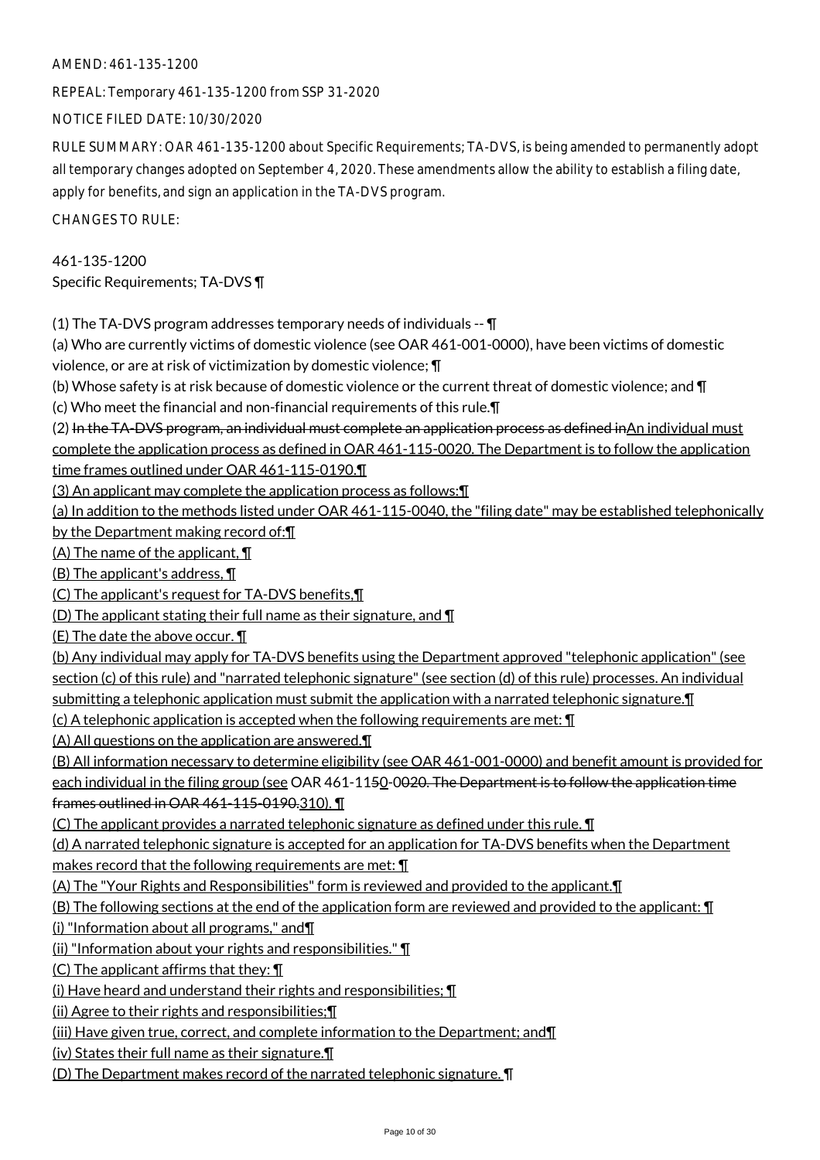REPEAL: Temporary 461-135-1200 from SSP 31-2020

NOTICE FILED DATE: 10/30/2020

RULE SUMMARY: OAR 461-135-1200 about Specific Requirements; TA-DVS, is being amended to permanently adopt all temporary changes adopted on September 4, 2020. These amendments allow the ability to establish a filing date, apply for benefits, and sign an application in the TA-DVS program.

CHANGES TO RULE:

461-135-1200 Specific Requirements; TA-DVS ¶

(1) The TA-DVS program addresses temporary needs of individuals -- ¶

(a) Who are currently victims of domestic violence (see OAR 461-001-0000), have been victims of domestic violence, or are at risk of victimization by domestic violence; ¶

(b) Whose safety is at risk because of domestic violence or the current threat of domestic violence; and ¶

(c) Who meet the financial and non-financial requirements of this rule.¶

(2) In the TA-DVS program, an individual must complete an application process as defined inAn individual must complete the application process as defined in OAR 461-115-0020. The Department is to follow the application time frames outlined under OAR 461-115-0190.¶

(3) An applicant may complete the application process as follows:¶

(a) In addition to the methods listed under OAR 461-115-0040, the "filing date" may be established telephonically by the Department making record of:¶

(A) The name of the applicant, ¶

(B) The applicant's address, ¶

(C) The applicant's request for TA-DVS benefits,¶

(D) The applicant stating their full name as their signature, and  $\P$ 

(E) The date the above occur. ¶

(b) Any individual may apply for TA-DVS benefits using the Department approved "telephonic application" (see section (c) of this rule) and "narrated telephonic signature" (see section (d) of this rule) processes. An individual submitting a telephonic application must submit the application with a narrated telephonic signature. I (c) A telephonic application is accepted when the following requirements are met: ¶

(A) All questions on the application are answered.¶

(B) All information necessary to determine eligibility (see OAR 461-001-0000) and benefit amount is provided for each individual in the filing group (see OAR 461-1150-0020. The Department is to follow the application time frames outlined in OAR 461-115-0190.310). ¶

(C) The applicant provides a narrated telephonic signature as defined under this rule. ¶

(d) A narrated telephonic signature is accepted for an application for TA-DVS benefits when the Department makes record that the following requirements are met: ¶

(A) The "Your Rights and Responsibilities" form is reviewed and provided to the applicant.¶

(B) The following sections at the end of the application form are reviewed and provided to the applicant: ¶

(i) "Information about all programs," and¶

(ii) "Information about your rights and responsibilities." ¶

(C) The applicant affirms that they: ¶

(i) Have heard and understand their rights and responsibilities; ¶

(ii) Agree to their rights and responsibilities;¶

(iii) Have given true, correct, and complete information to the Department; and¶

(iv) States their full name as their signature.¶

(D) The Department makes record of the narrated telephonic signature. ¶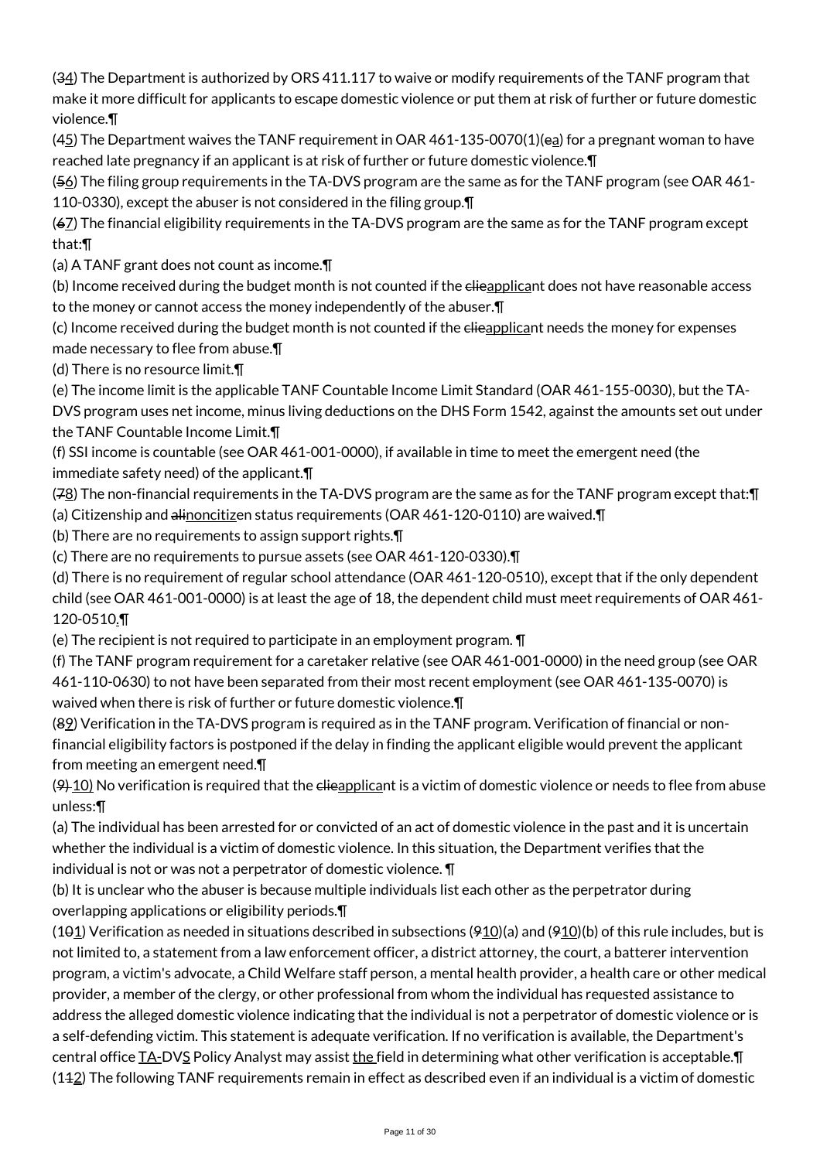(34) The Department is authorized by ORS 411.117 to waive or modify requirements of the TANF program that make it more difficult for applicants to escape domestic violence or put them at risk of further or future domestic violence.¶

 $(45)$  The Department waives the TANF requirement in OAR 461-135-0070(1)(ea) for a pregnant woman to have reached late pregnancy if an applicant is at risk of further or future domestic violence.¶

(56) The filing group requirements in the TA-DVS program are the same as for the TANF program (see OAR 461- 110-0330), except the abuser is not considered in the filing group.¶

(67) The financial eligibility requirements in the TA-DVS program are the same as for the TANF program except that:¶

(a) A TANF grant does not count as income.¶

(b) Income received during the budget month is not counted if the elieapplicant does not have reasonable access to the money or cannot access the money independently of the abuser.¶

(c) Income received during the budget month is not counted if the elieapplicant needs the money for expenses made necessary to flee from abuse.¶

(d) There is no resource limit.¶

(e) The income limit is the applicable TANF Countable Income Limit Standard (OAR 461-155-0030), but the TA-

DVS program uses net income, minus living deductions on the DHS Form 1542, against the amounts set out under the TANF Countable Income Limit.¶

(f) SSI income is countable (see OAR 461-001-0000), if available in time to meet the emergent need (the immediate safety need) of the applicant.¶

(78) The non-financial requirements in the TA-DVS program are the same as for the TANF program except that: ¶ (a) Citizenship and alinoncitizen status requirements (OAR 461-120-0110) are waived. T

(b) There are no requirements to assign support rights.¶

(c) There are no requirements to pursue assets (see OAR 461-120-0330).¶

(d) There is no requirement of regular school attendance (OAR 461-120-0510), except that if the only dependent child (see OAR 461-001-0000) is at least the age of 18, the dependent child must meet requirements of OAR 461- 120-0510.¶

(e) The recipient is not required to participate in an employment program. ¶

(f) The TANF program requirement for a caretaker relative (see OAR 461-001-0000) in the need group (see OAR 461-110-0630) to not have been separated from their most recent employment (see OAR 461-135-0070) is waived when there is risk of further or future domestic violence.¶

(89) Verification in the TA-DVS program is required as in the TANF program. Verification of financial or nonfinancial eligibility factors is postponed if the delay in finding the applicant eligible would prevent the applicant from meeting an emergent need.¶

 $(9)$  10) No verification is required that the elieapplicant is a victim of domestic violence or needs to flee from abuse unless:¶

(a) The individual has been arrested for or convicted of an act of domestic violence in the past and it is uncertain whether the individual is a victim of domestic violence. In this situation, the Department verifies that the individual is not or was not a perpetrator of domestic violence. ¶

(b) It is unclear who the abuser is because multiple individuals list each other as the perpetrator during overlapping applications or eligibility periods.¶

(101) Verification as needed in situations described in subsections  $(910)(a)$  and  $(910)(b)$  of this rule includes, but is not limited to, a statement from a law enforcement officer, a district attorney, the court, a batterer intervention program, a victim's advocate, a Child Welfare staff person, a mental health provider, a health care or other medical provider, a member of the clergy, or other professional from whom the individual has requested assistance to address the alleged domestic violence indicating that the individual is not a perpetrator of domestic violence or is a self-defending victim. This statement is adequate verification. If no verification is available, the Department's central office TA-DVS Policy Analyst may assist the field in determining what other verification is acceptable.  $(142)$  The following TANF requirements remain in effect as described even if an individual is a victim of domestic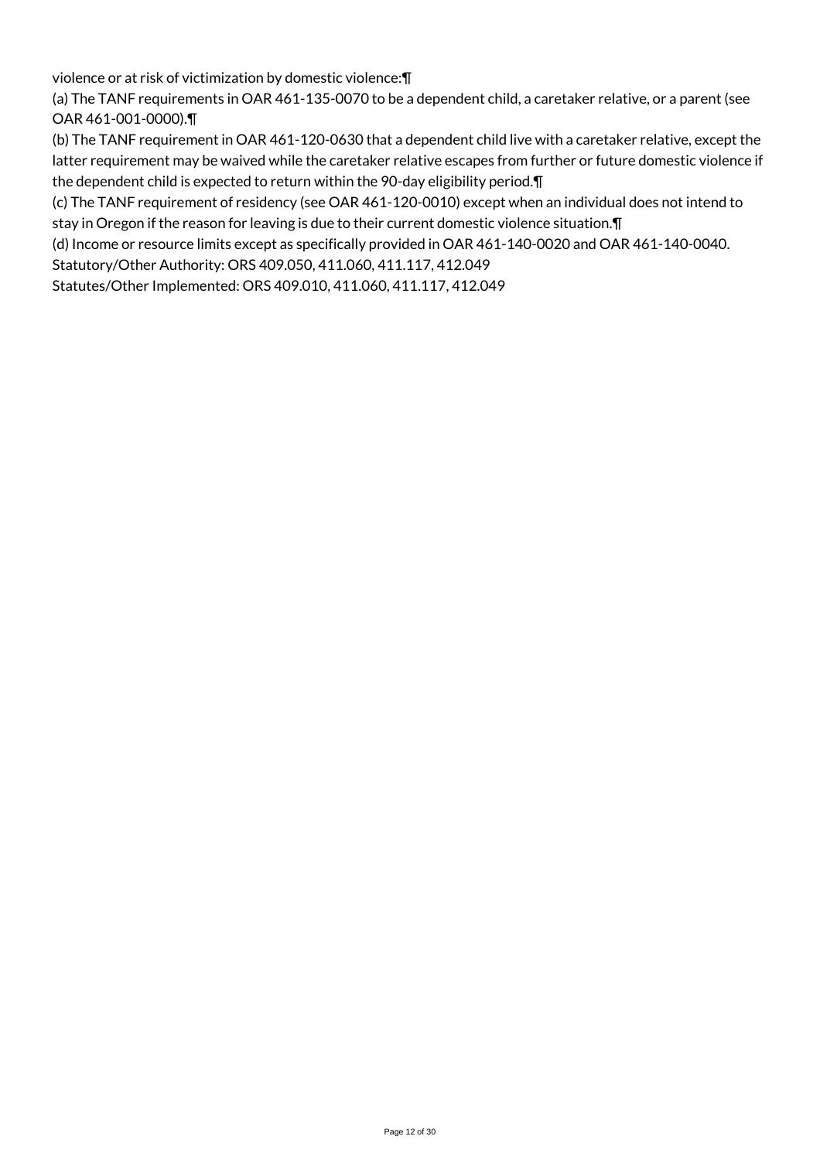violence or at risk of victimization by domestic violence:¶

(a) The TANF requirements in OAR 461-135-0070 to be a dependent child, a caretaker relative, or a parent (see OAR 461-001-0000).¶

(b) The TANF requirement in OAR 461-120-0630 that a dependent child live with a caretaker relative, except the latter requirement may be waived while the caretaker relative escapes from further or future domestic violence if the dependent child is expected to return within the 90-day eligibility period.¶

(c) The TANF requirement of residency (see OAR 461-120-0010) except when an individual does not intend to stay in Oregon if the reason for leaving is due to their current domestic violence situation.¶

(d) Income or resource limits except as specifically provided in OAR 461-140-0020 and OAR 461-140-0040.

Statutory/Other Authority: ORS 409.050, 411.060, 411.117, 412.049

Statutes/Other Implemented: ORS 409.010, 411.060, 411.117, 412.049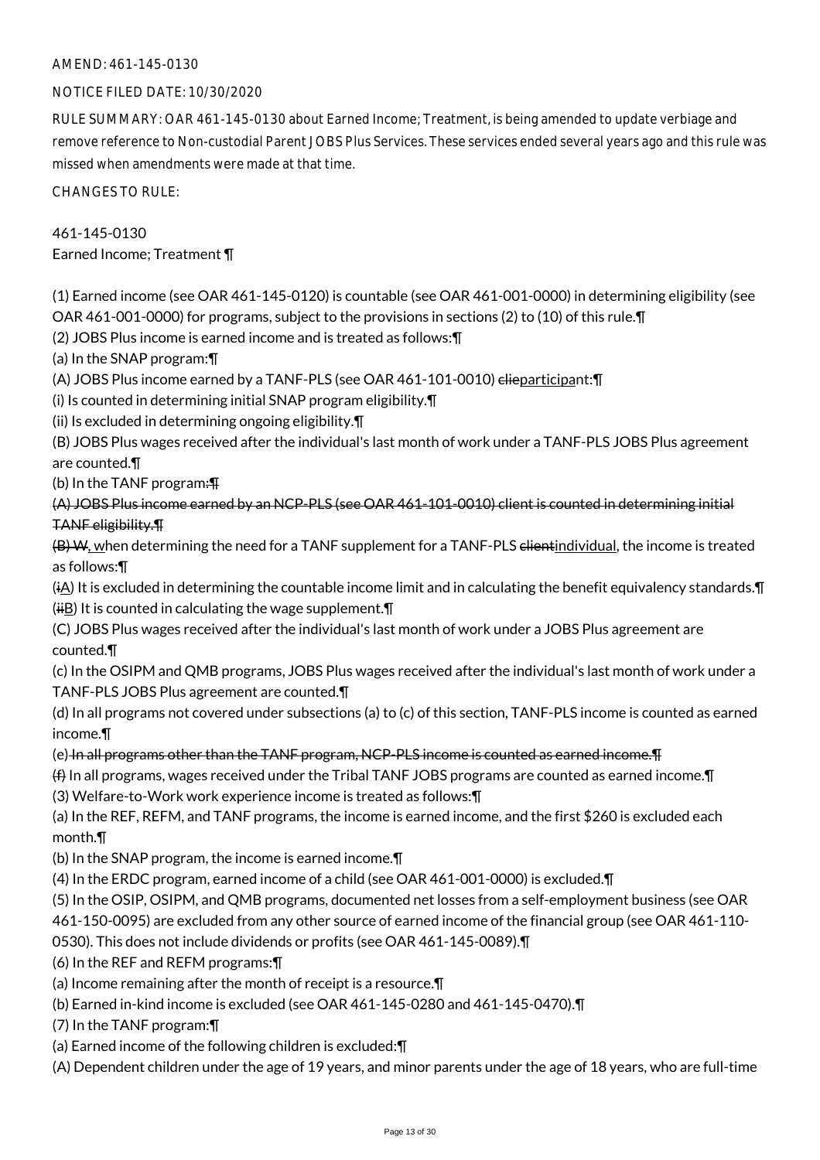## NOTICE FILED DATE: 10/30/2020

RULE SUMMARY: OAR 461-145-0130 about Earned Income; Treatment, is being amended to update verbiage and remove reference to Non-custodial Parent JOBS Plus Services. These services ended several years ago and this rule was missed when amendments were made at that time.

CHANGES TO RULE:

# 461-145-0130

Earned Income; Treatment ¶

(1) Earned income (see OAR 461-145-0120) is countable (see OAR 461-001-0000) in determining eligibility (see OAR 461-001-0000) for programs, subject to the provisions in sections (2) to (10) of this rule.¶

(2) JOBS Plus income is earned income and is treated as follows:¶

(a) In the SNAP program:¶

(A) JOBS Plus income earned by a TANF-PLS (see OAR 461-101-0010) elieparticipant: [[

(i) Is counted in determining initial SNAP program eligibility.¶

(ii) Is excluded in determining ongoing eligibility.¶

(B) JOBS Plus wages received after the individual's last month of work under a TANF-PLS JOBS Plus agreement are counted.¶

(b) In the TANF program:¶

(A) JOBS Plus income earned by an NCP-PLS (see OAR 461-101-0010) client is counted in determining initial TANF eligibility.¶

 $(B)$  W, when determining the need for a TANF supplement for a TANF-PLS elientindividual, the income is treated as follows:¶

 $(iA)$  It is excluded in determining the countable income limit and in calculating the benefit equivalency standards. $\P$  $(iH)$  It is counted in calculating the wage supplement.

(C) JOBS Plus wages received after the individual's last month of work under a JOBS Plus agreement are counted.¶

(c) In the OSIPM and QMB programs, JOBS Plus wages received after the individual's last month of work under a TANF-PLS JOBS Plus agreement are counted.¶

(d) In all programs not covered under subsections (a) to (c) of this section, TANF-PLS income is counted as earned income.¶

(e) In all programs other than the TANF program, NCP-PLS income is counted as earned income.¶

(f) In all programs, wages received under the Tribal TANF JOBS programs are counted as earned income.¶

(3) Welfare-to-Work work experience income is treated as follows:¶

(a) In the REF, REFM, and TANF programs, the income is earned income, and the first \$260 is excluded each month.¶

(b) In the SNAP program, the income is earned income.¶

(4) In the ERDC program, earned income of a child (see OAR 461-001-0000) is excluded.¶

(5) In the OSIP, OSIPM, and QMB programs, documented net losses from a self-employment business (see OAR 461-150-0095) are excluded from any other source of earned income of the financial group (see OAR 461-110-

0530). This does not include dividends or profits (see OAR 461-145-0089).¶

(6) In the REF and REFM programs:¶

(a) Income remaining after the month of receipt is a resource.¶

(b) Earned in-kind income is excluded (see OAR 461-145-0280 and 461-145-0470).¶

(7) In the TANF program:¶

(a) Earned income of the following children is excluded:¶

(A) Dependent children under the age of 19 years, and minor parents under the age of 18 years, who are full-time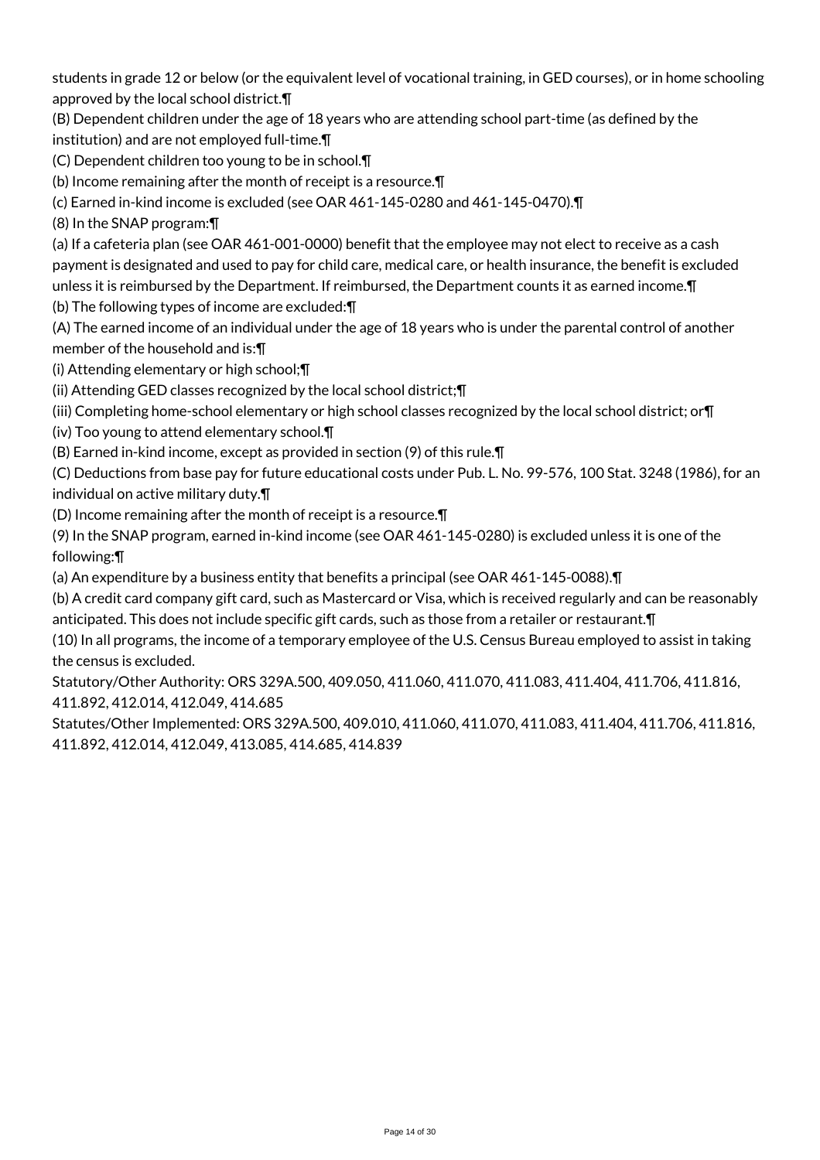students in grade 12 or below (or the equivalent level of vocational training, in GED courses), or in home schooling approved by the local school district.¶

(B) Dependent children under the age of 18 years who are attending school part-time (as defined by the institution) and are not employed full-time.¶

(C) Dependent children too young to be in school.¶

(b) Income remaining after the month of receipt is a resource.¶

(c) Earned in-kind income is excluded (see OAR 461-145-0280 and 461-145-0470).¶

(8) In the SNAP program:¶

(a) If a cafeteria plan (see OAR 461-001-0000) benefit that the employee may not elect to receive as a cash payment is designated and used to pay for child care, medical care, or health insurance, the benefit is excluded unless it is reimbursed by the Department. If reimbursed, the Department counts it as earned income.¶

(b) The following types of income are excluded:¶

(A) The earned income of an individual under the age of 18 years who is under the parental control of another member of the household and is:¶

(i) Attending elementary or high school;¶

(ii) Attending GED classes recognized by the local school district;¶

(iii) Completing home-school elementary or high school classes recognized by the local school district; or¶

(iv) Too young to attend elementary school.¶

(B) Earned in-kind income, except as provided in section (9) of this rule.¶

(C) Deductions from base pay for future educational costs under Pub. L. No. 99-576, 100 Stat. 3248 (1986), for an individual on active military duty.¶

(D) Income remaining after the month of receipt is a resource.¶

(9) In the SNAP program, earned in-kind income (see OAR 461-145-0280) is excluded unless it is one of the following:¶

(a) An expenditure by a business entity that benefits a principal (see OAR 461-145-0088).¶

(b) A credit card company gift card, such as Mastercard or Visa, which is received regularly and can be reasonably anticipated. This does not include specific gift cards, such as those from a retailer or restaurant.¶

(10) In all programs, the income of a temporary employee of the U.S. Census Bureau employed to assist in taking the census is excluded.

Statutory/Other Authority: ORS 329A.500, 409.050, 411.060, 411.070, 411.083, 411.404, 411.706, 411.816, 411.892, 412.014, 412.049, 414.685

Statutes/Other Implemented: ORS 329A.500, 409.010, 411.060, 411.070, 411.083, 411.404, 411.706, 411.816, 411.892, 412.014, 412.049, 413.085, 414.685, 414.839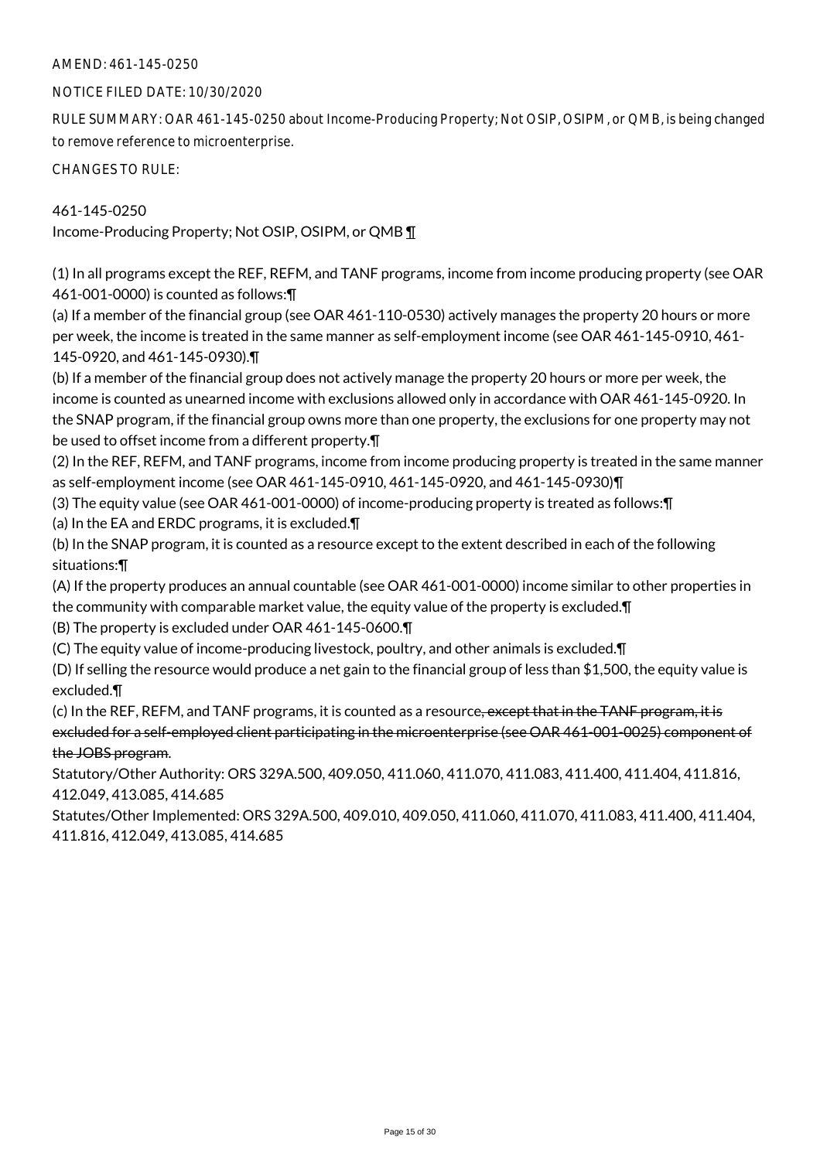#### NOTICE FILED DATE: 10/30/2020

RULE SUMMARY: OAR 461-145-0250 about Income-Producing Property; Not OSIP, OSIPM, or QMB, is being changed to remove reference to microenterprise.

CHANGES TO RULE:

## 461-145-0250

Income-Producing Property; Not OSIP, OSIPM, or QMB ¶

(1) In all programs except the REF, REFM, and TANF programs, income from income producing property (see OAR 461-001-0000) is counted as follows:¶

(a) If a member of the financial group (see OAR 461-110-0530) actively manages the property 20 hours or more per week, the income is treated in the same manner as self-employment income (see OAR 461-145-0910, 461- 145-0920, and 461-145-0930).¶

(b) If a member of the financial group does not actively manage the property 20 hours or more per week, the income is counted as unearned income with exclusions allowed only in accordance with OAR 461-145-0920. In the SNAP program, if the financial group owns more than one property, the exclusions for one property may not be used to offset income from a different property.¶

(2) In the REF, REFM, and TANF programs, income from income producing property is treated in the same manner as self-employment income (see OAR 461-145-0910, 461-145-0920, and 461-145-0930)¶

(3) The equity value (see OAR 461-001-0000) of income-producing property is treated as follows:¶

(a) In the EA and ERDC programs, it is excluded.¶

(b) In the SNAP program, it is counted as a resource except to the extent described in each of the following situations:¶

(A) If the property produces an annual countable (see OAR 461-001-0000) income similar to other properties in the community with comparable market value, the equity value of the property is excluded.¶ (B) The property is excluded under OAR 461-145-0600.¶

(C) The equity value of income-producing livestock, poultry, and other animals is excluded.¶

(D) If selling the resource would produce a net gain to the financial group of less than \$1,500, the equity value is excluded.¶

(c) In the REF, REFM, and TANF programs, it is counted as a resource, except that in the TANF program, it is excluded for a self-employed client participating in the microenterprise (see OAR 461-001-0025) component of the JOBS program.

Statutory/Other Authority: ORS 329A.500, 409.050, 411.060, 411.070, 411.083, 411.400, 411.404, 411.816, 412.049, 413.085, 414.685

Statutes/Other Implemented: ORS 329A.500, 409.010, 409.050, 411.060, 411.070, 411.083, 411.400, 411.404, 411.816, 412.049, 413.085, 414.685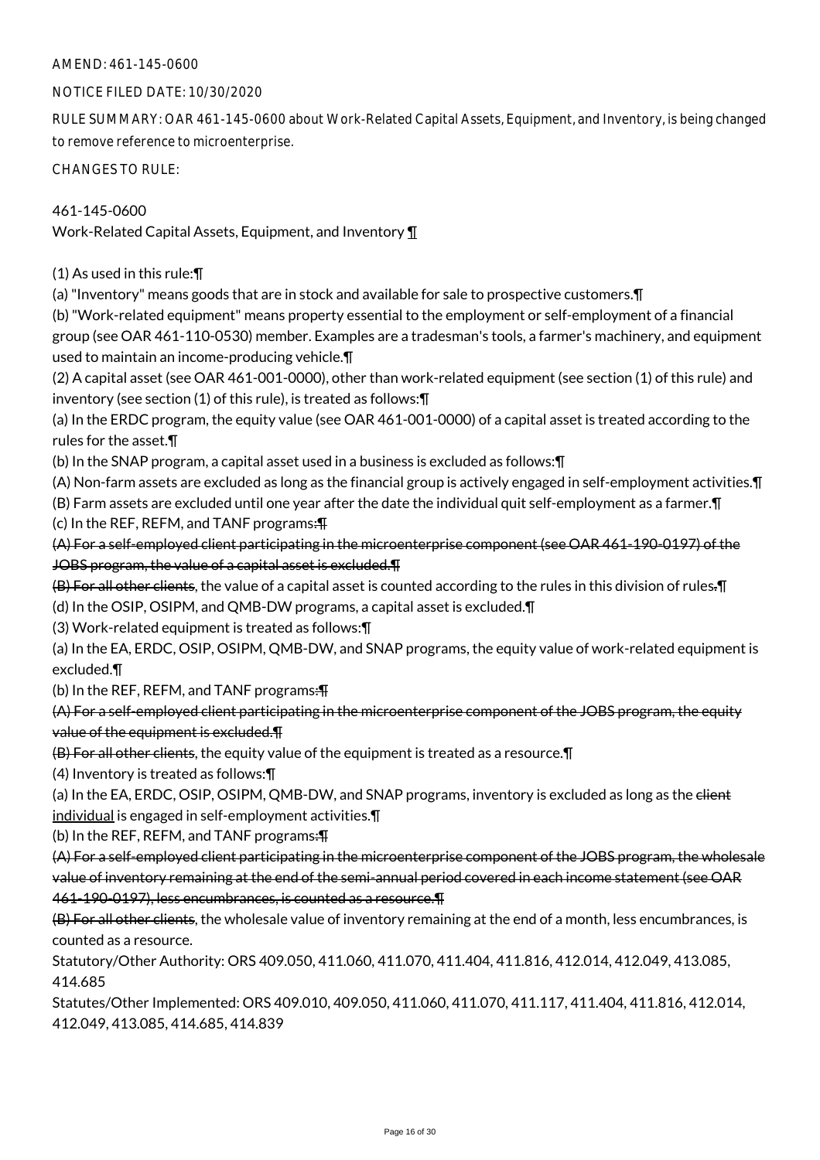#### NOTICE FILED DATE: 10/30/2020

RULE SUMMARY: OAR 461-145-0600 about Work-Related Capital Assets, Equipment, and Inventory, is being changed to remove reference to microenterprise.

CHANGES TO RULE:

## 461-145-0600

Work-Related Capital Assets, Equipment, and Inventory ¶

(1) As used in this rule:¶

(a) "Inventory" means goods that are in stock and available for sale to prospective customers.¶

(b) "Work-related equipment" means property essential to the employment or self-employment of a financial group (see OAR 461-110-0530) member. Examples are a tradesman's tools, a farmer's machinery, and equipment used to maintain an income-producing vehicle.¶

(2) A capital asset (see OAR 461-001-0000), other than work-related equipment (see section (1) of this rule) and inventory (see section (1) of this rule), is treated as follows:¶

(a) In the ERDC program, the equity value (see OAR 461-001-0000) of a capital asset is treated according to the rules for the asset.¶

(b) In the SNAP program, a capital asset used in a business is excluded as follows:¶

(A) Non-farm assets are excluded as long as the financial group is actively engaged in self-employment activities.¶

(B) Farm assets are excluded until one year after the date the individual quit self-employment as a farmer.¶ (c) In the REF, REFM, and TANF programs: $\overline{P}$ 

(A) For a self-employed client participating in the microenterprise component (see OAR 461-190-0197) of the JOBS program, the value of a capital asset is excluded.¶

(B) For all other clients, the value of a capital asset is counted according to the rules in this division of rules.¶

(d) In the OSIP, OSIPM, and QMB-DW programs, a capital asset is excluded.¶

(3) Work-related equipment is treated as follows:¶

(a) In the EA, ERDC, OSIP, OSIPM, QMB-DW, and SNAP programs, the equity value of work-related equipment is excluded.¶

(b) In the REF, REFM, and TANF programs: TH

(A) For a self-employed client participating in the microenterprise component of the JOBS program, the equity value of the equipment is excluded.¶

(B) For all other clients, the equity value of the equipment is treated as a resource.¶

(4) Inventory is treated as follows:¶

(a) In the EA, ERDC, OSIP, OSIPM, QMB-DW, and SNAP programs, inventory is excluded as long as the elient individual is engaged in self-employment activities.¶

(b) In the REF, REFM, and TANF programs: TH

(A) For a self-employed client participating in the microenterprise component of the JOBS program, the wholesale value of inventory remaining at the end of the semi-annual period covered in each income statement (see OAR 461-190-0197), less encumbrances, is counted as a resource.¶

(B) For all other clients, the wholesale value of inventory remaining at the end of a month, less encumbrances, is counted as a resource.

Statutory/Other Authority: ORS 409.050, 411.060, 411.070, 411.404, 411.816, 412.014, 412.049, 413.085, 414.685

Statutes/Other Implemented: ORS 409.010, 409.050, 411.060, 411.070, 411.117, 411.404, 411.816, 412.014, 412.049, 413.085, 414.685, 414.839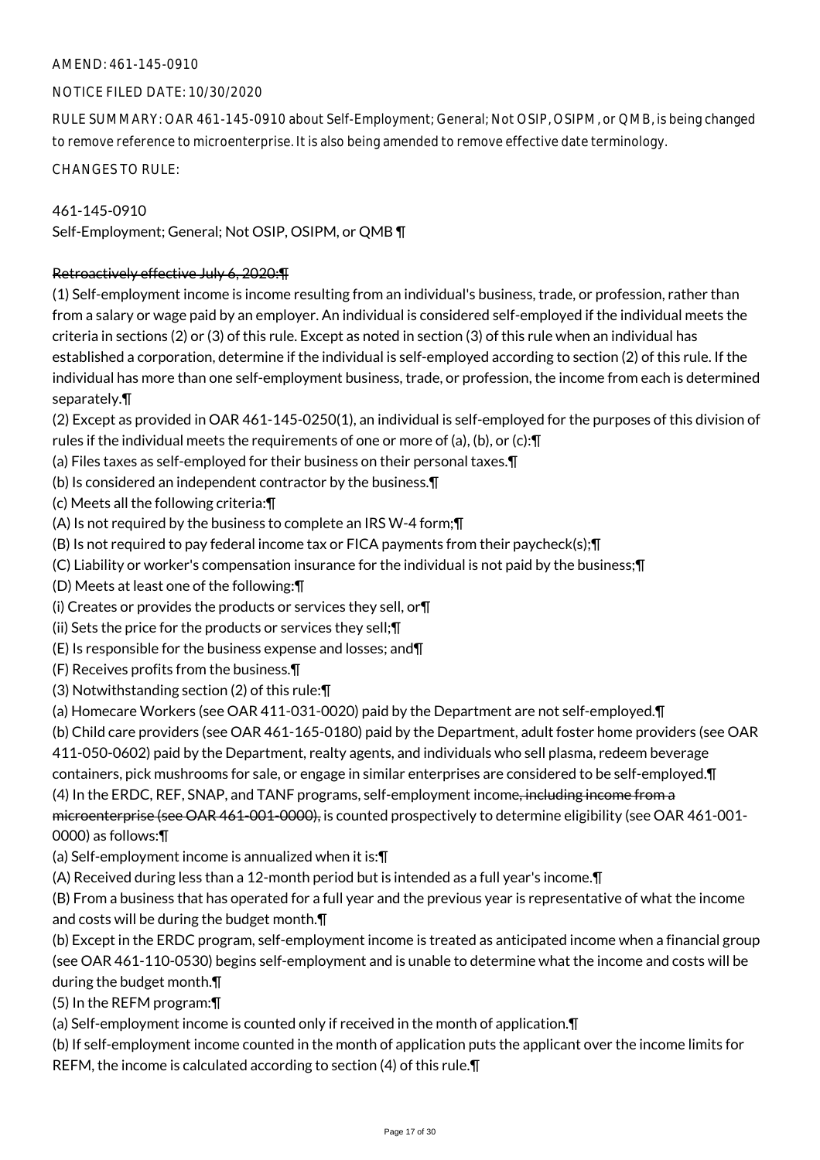## NOTICE FILED DATE: 10/30/2020

RULE SUMMARY: OAR 461-145-0910 about Self-Employment; General; Not OSIP, OSIPM, or QMB, is being changed to remove reference to microenterprise. It is also being amended to remove effective date terminology.

CHANGES TO RULE:

461-145-0910 Self-Employment; General; Not OSIP, OSIPM, or QMB ¶

## Retroactively effective July 6, 2020:¶

(1) Self-employment income is income resulting from an individual's business, trade, or profession, rather than from a salary or wage paid by an employer. An individual is considered self-employed if the individual meets the criteria in sections (2) or (3) of this rule. Except as noted in section (3) of this rule when an individual has established a corporation, determine if the individual is self-employed according to section (2) of this rule. If the individual has more than one self-employment business, trade, or profession, the income from each is determined separately.¶

(2) Except as provided in OAR 461-145-0250(1), an individual is self-employed for the purposes of this division of rules if the individual meets the requirements of one or more of (a), (b), or (c):¶

- (a) Files taxes as self-employed for their business on their personal taxes.¶
- (b) Is considered an independent contractor by the business.¶
- (c) Meets all the following criteria:¶
- (A) Is not required by the business to complete an IRS W-4 form;¶
- (B) Is not required to pay federal income tax or FICA payments from their paycheck(s);¶
- (C) Liability or worker's compensation insurance for the individual is not paid by the business;¶
- (D) Meets at least one of the following:¶
- (i) Creates or provides the products or services they sell, or¶
- (ii) Sets the price for the products or services they sell;¶
- (E) Is responsible for the business expense and losses; and¶
- (F) Receives profits from the business.¶
- (3) Notwithstanding section (2) of this rule:¶
- (a) Homecare Workers (see OAR 411-031-0020) paid by the Department are not self-employed.¶
- (b) Child care providers (see OAR 461-165-0180) paid by the Department, adult foster home providers (see OAR
- 411-050-0602) paid by the Department, realty agents, and individuals who sell plasma, redeem beverage
- containers, pick mushrooms for sale, or engage in similar enterprises are considered to be self-employed.¶
- (4) In the ERDC, REF, SNAP, and TANF programs, self-employment income, including income from a

microenterprise (see OAR 461-001-0000), is counted prospectively to determine eligibility (see OAR 461-001- 0000) as follows:¶

- (a) Self-employment income is annualized when it is:¶
- (A) Received during less than a 12-month period but is intended as a full year's income.¶

(B) From a business that has operated for a full year and the previous year is representative of what the income and costs will be during the budget month.¶

(b) Except in the ERDC program, self-employment income is treated as anticipated income when a financial group (see OAR 461-110-0530) begins self-employment and is unable to determine what the income and costs will be during the budget month.¶

(5) In the REFM program:¶

(a) Self-employment income is counted only if received in the month of application.¶

(b) If self-employment income counted in the month of application puts the applicant over the income limits for REFM, the income is calculated according to section (4) of this rule.¶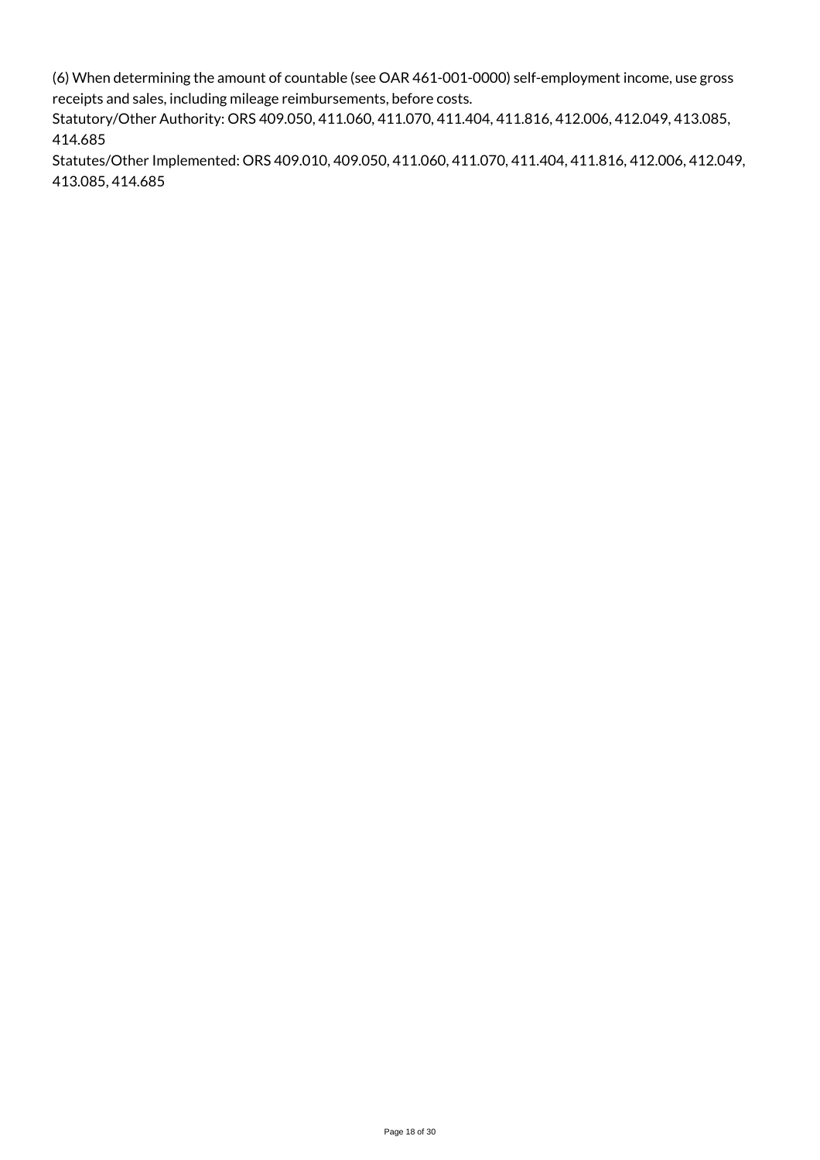(6) When determining the amount of countable (see OAR 461-001-0000) self-employment income, use gross receipts and sales, including mileage reimbursements, before costs.

Statutory/Other Authority: ORS 409.050, 411.060, 411.070, 411.404, 411.816, 412.006, 412.049, 413.085, 414.685

Statutes/Other Implemented: ORS 409.010, 409.050, 411.060, 411.070, 411.404, 411.816, 412.006, 412.049, 413.085, 414.685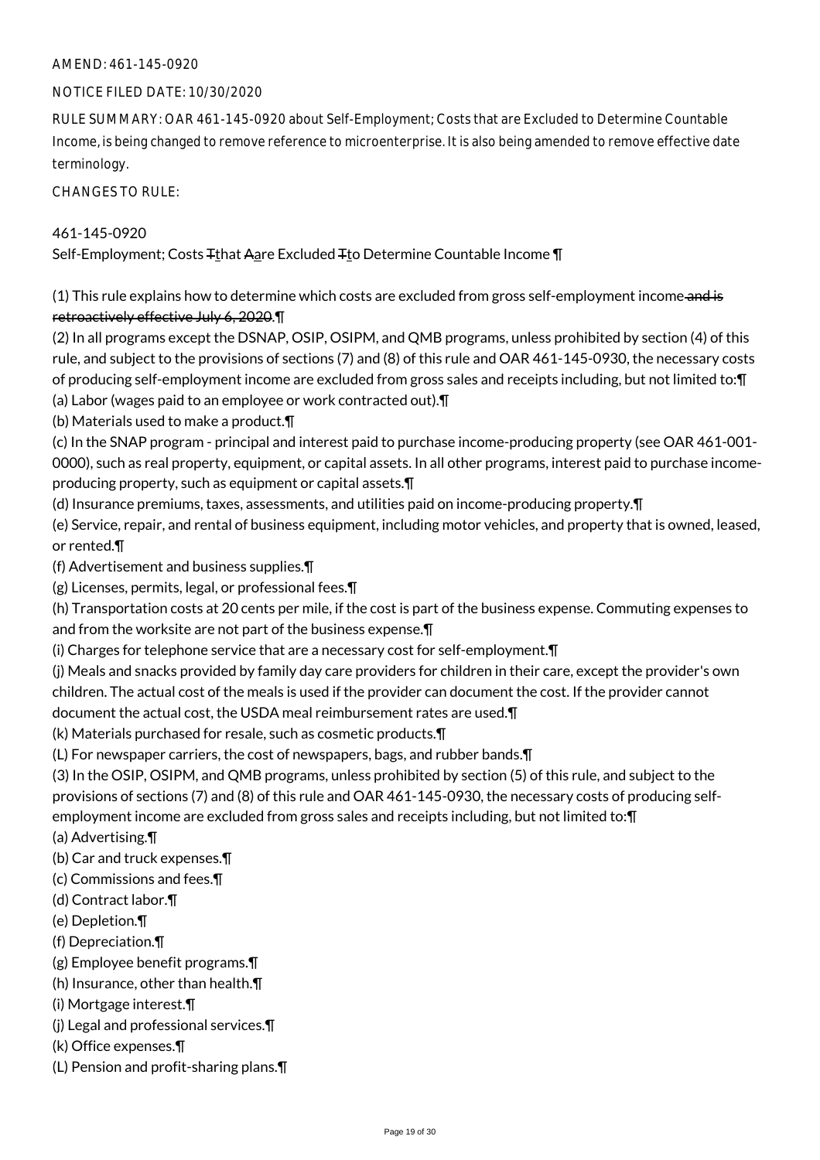#### NOTICE FILED DATE: 10/30/2020

RULE SUMMARY: OAR 461-145-0920 about Self-Employment; Costs that are Excluded to Determine Countable Income, is being changed to remove reference to microenterprise. It is also being amended to remove effective date terminology.

CHANGES TO RULE:

## 461-145-0920

Self-Employment; Costs Tthat Aare Excluded Tto Determine Countable Income ¶

(1) This rule explains how to determine which costs are excluded from gross self-employment income and is retroactively effective July 6, 2020.¶

(2) In all programs except the DSNAP, OSIP, OSIPM, and QMB programs, unless prohibited by section (4) of this rule, and subject to the provisions of sections (7) and (8) of this rule and OAR 461-145-0930, the necessary costs of producing self-employment income are excluded from gross sales and receipts including, but not limited to:¶ (a) Labor (wages paid to an employee or work contracted out).¶

(b) Materials used to make a product.¶

(c) In the SNAP program - principal and interest paid to purchase income-producing property (see OAR 461-001- 0000), such as real property, equipment, or capital assets. In all other programs, interest paid to purchase incomeproducing property, such as equipment or capital assets.¶

(d) Insurance premiums, taxes, assessments, and utilities paid on income-producing property.¶

- (e) Service, repair, and rental of business equipment, including motor vehicles, and property that is owned, leased, or rented.¶
- (f) Advertisement and business supplies.¶
- (g) Licenses, permits, legal, or professional fees.¶

(h) Transportation costs at 20 cents per mile, if the cost is part of the business expense. Commuting expenses to and from the worksite are not part of the business expense.¶

(i) Charges for telephone service that are a necessary cost for self-employment.¶

(j) Meals and snacks provided by family day care providers for children in their care, except the provider's own children. The actual cost of the meals is used if the provider can document the cost. If the provider cannot document the actual cost, the USDA meal reimbursement rates are used.¶

(k) Materials purchased for resale, such as cosmetic products.¶

(L) For newspaper carriers, the cost of newspapers, bags, and rubber bands.¶

(3) In the OSIP, OSIPM, and QMB programs, unless prohibited by section (5) of this rule, and subject to the provisions of sections (7) and (8) of this rule and OAR 461-145-0930, the necessary costs of producing selfemployment income are excluded from gross sales and receipts including, but not limited to:¶

- (a) Advertising.¶
- (b) Car and truck expenses.¶
- (c) Commissions and fees.¶
- (d) Contract labor.¶
- (e) Depletion.¶
- (f) Depreciation.¶
- (g) Employee benefit programs.¶
- (h) Insurance, other than health.¶
- (i) Mortgage interest.¶
- (j) Legal and professional services.¶
- (k) Office expenses.¶
- (L) Pension and profit-sharing plans.¶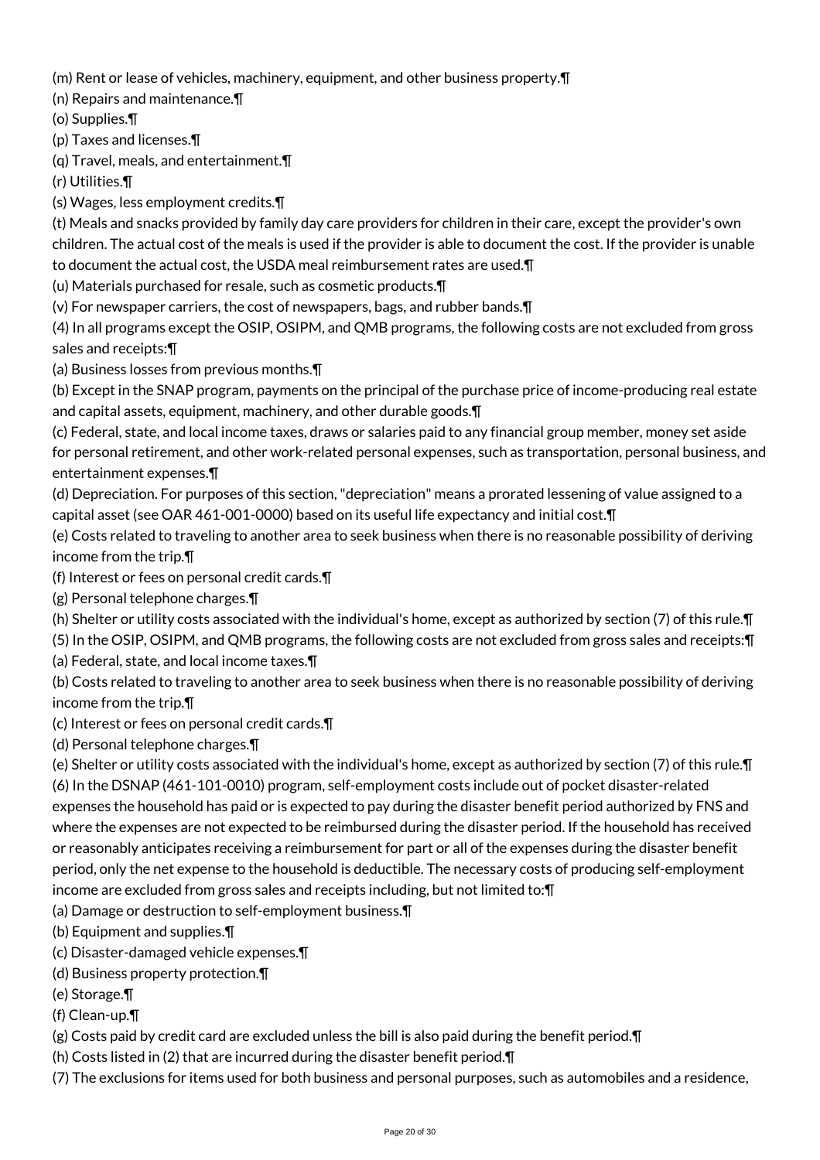(m) Rent or lease of vehicles, machinery, equipment, and other business property.¶

(n) Repairs and maintenance.¶

(o) Supplies.¶

(p) Taxes and licenses.¶

(q) Travel, meals, and entertainment.¶

(r) Utilities.¶

(s) Wages, less employment credits.¶

(t) Meals and snacks provided by family day care providers for children in their care, except the provider's own children. The actual cost of the meals is used if the provider is able to document the cost. If the provider is unable to document the actual cost, the USDA meal reimbursement rates are used.¶

(u) Materials purchased for resale, such as cosmetic products.¶

(v) For newspaper carriers, the cost of newspapers, bags, and rubber bands.¶

(4) In all programs except the OSIP, OSIPM, and QMB programs, the following costs are not excluded from gross sales and receipts:¶

(a) Business losses from previous months.¶

(b) Except in the SNAP program, payments on the principal of the purchase price of income-producing real estate and capital assets, equipment, machinery, and other durable goods.¶

(c) Federal, state, and local income taxes, draws or salaries paid to any financial group member, money set aside for personal retirement, and other work-related personal expenses, such as transportation, personal business, and entertainment expenses.¶

(d) Depreciation. For purposes of this section, "depreciation" means a prorated lessening of value assigned to a capital asset (see OAR 461-001-0000) based on its useful life expectancy and initial cost.¶

(e) Costs related to traveling to another area to seek business when there is no reasonable possibility of deriving income from the trip.¶

(f) Interest or fees on personal credit cards.¶

(g) Personal telephone charges.¶

(h) Shelter or utility costs associated with the individual's home, except as authorized by section (7) of this rule.¶

(5) In the OSIP, OSIPM, and QMB programs, the following costs are not excluded from gross sales and receipts:¶

(a) Federal, state, and local income taxes.¶

(b) Costs related to traveling to another area to seek business when there is no reasonable possibility of deriving income from the trip.¶

(c) Interest or fees on personal credit cards.¶

(d) Personal telephone charges.¶

(e) Shelter or utility costs associated with the individual's home, except as authorized by section (7) of this rule.¶ (6) In the DSNAP (461-101-0010) program, self-employment costs include out of pocket disaster-related expenses the household has paid or is expected to pay during the disaster benefit period authorized by FNS and where the expenses are not expected to be reimbursed during the disaster period. If the household has received or reasonably anticipates receiving a reimbursement for part or all of the expenses during the disaster benefit period, only the net expense to the household is deductible. The necessary costs of producing self-employment income are excluded from gross sales and receipts including, but not limited to:¶

(a) Damage or destruction to self-employment business.¶

(b) Equipment and supplies.¶

- (c) Disaster-damaged vehicle expenses.¶
- (d) Business property protection.¶
- (e) Storage.¶

(f) Clean-up.¶

(g) Costs paid by credit card are excluded unless the bill is also paid during the benefit period.¶

(h) Costs listed in (2) that are incurred during the disaster benefit period.¶

(7) The exclusions for items used for both business and personal purposes, such as automobiles and a residence,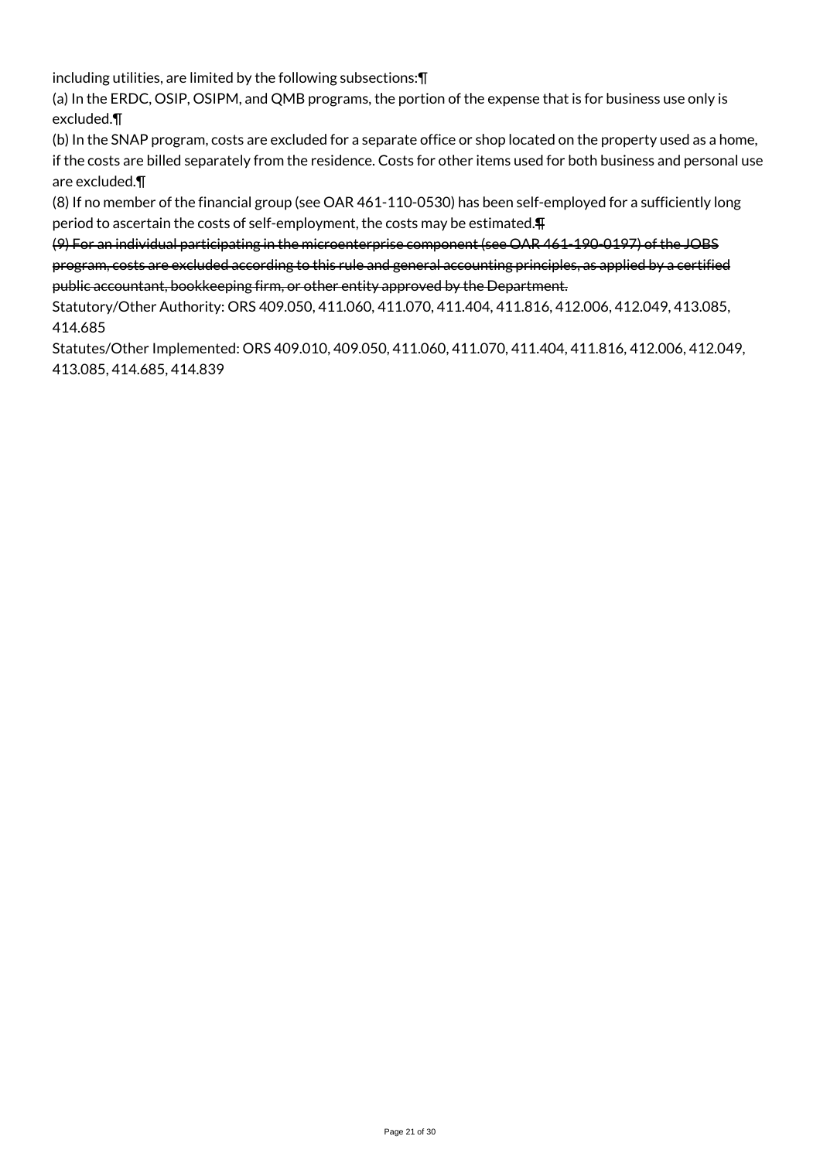including utilities, are limited by the following subsections:¶

(a) In the ERDC, OSIP, OSIPM, and QMB programs, the portion of the expense that is for business use only is excluded.¶

(b) In the SNAP program, costs are excluded for a separate office or shop located on the property used as a home, if the costs are billed separately from the residence. Costs for other items used for both business and personal use are excluded.¶

(8) If no member of the financial group (see OAR 461-110-0530) has been self-employed for a sufficiently long period to ascertain the costs of self-employment, the costs may be estimated.¶

(9) For an individual participating in the microenterprise component (see OAR 461-190-0197) of the JOBS program, costs are excluded according to this rule and general accounting principles, as applied by a certified public accountant, bookkeeping firm, or other entity approved by the Department.

Statutory/Other Authority: ORS 409.050, 411.060, 411.070, 411.404, 411.816, 412.006, 412.049, 413.085, 414.685

Statutes/Other Implemented: ORS 409.010, 409.050, 411.060, 411.070, 411.404, 411.816, 412.006, 412.049, 413.085, 414.685, 414.839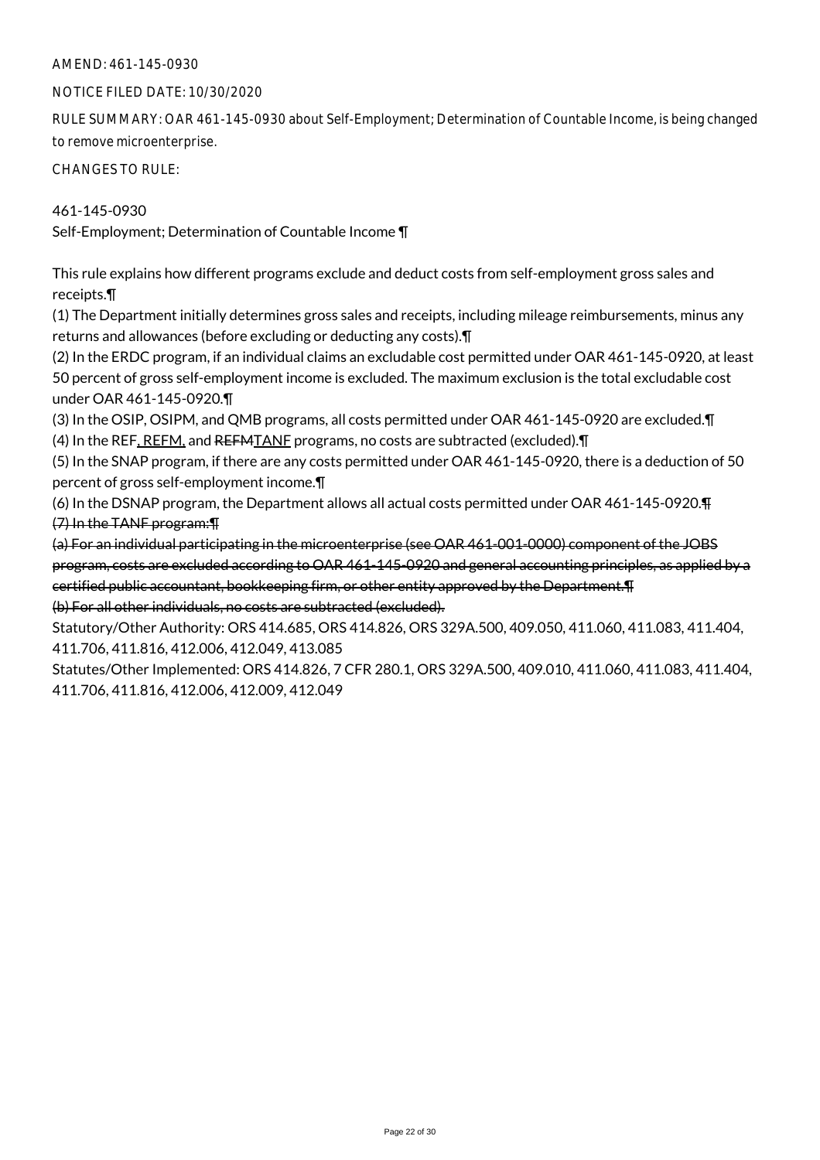#### NOTICE FILED DATE: 10/30/2020

RULE SUMMARY: OAR 461-145-0930 about Self-Employment; Determination of Countable Income, is being changed to remove microenterprise.

CHANGES TO RULE:

## 461-145-0930

Self-Employment; Determination of Countable Income ¶

This rule explains how different programs exclude and deduct costs from self-employment gross sales and receipts.¶

(1) The Department initially determines gross sales and receipts, including mileage reimbursements, minus any returns and allowances (before excluding or deducting any costs).¶

(2) In the ERDC program, if an individual claims an excludable cost permitted under OAR 461-145-0920, at least 50 percent of gross self-employment income is excluded. The maximum exclusion is the total excludable cost under OAR 461-145-0920.¶

(3) In the OSIP, OSIPM, and QMB programs, all costs permitted under OAR 461-145-0920 are excluded.¶ (4) In the REF, REFM, and REFMTANF programs, no costs are subtracted (excluded).¶

(5) In the SNAP program, if there are any costs permitted under OAR 461-145-0920, there is a deduction of 50 percent of gross self-employment income.¶

(6) In the DSNAP program, the Department allows all actual costs permitted under OAR 461-145-0920.¶ (7) In the TANF program:¶

(a) For an individual participating in the microenterprise (see OAR 461-001-0000) component of the JOBS program, costs are excluded according to OAR 461-145-0920 and general accounting principles, as applied by a certified public accountant, bookkeeping firm, or other entity approved by the Department.¶ (b) For all other individuals, no costs are subtracted (excluded).

Statutory/Other Authority: ORS 414.685, ORS 414.826, ORS 329A.500, 409.050, 411.060, 411.083, 411.404, 411.706, 411.816, 412.006, 412.049, 413.085

Statutes/Other Implemented: ORS 414.826, 7 CFR 280.1, ORS 329A.500, 409.010, 411.060, 411.083, 411.404, 411.706, 411.816, 412.006, 412.009, 412.049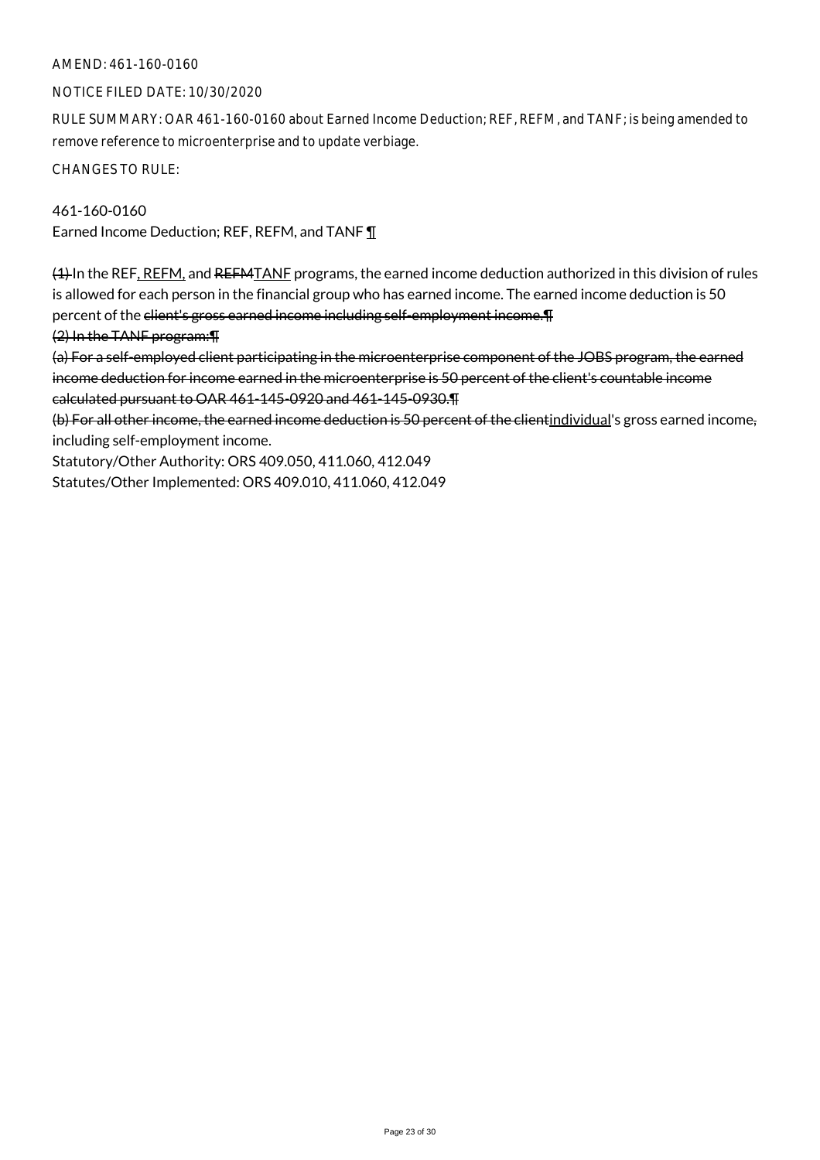## AMEND: 461-160-0160

#### NOTICE FILED DATE: 10/30/2020

RULE SUMMARY: OAR 461-160-0160 about Earned Income Deduction; REF, REFM, and TANF; is being amended to remove reference to microenterprise and to update verbiage.

CHANGES TO RULE:

461-160-0160 Earned Income Deduction; REF, REFM, and TANF 1

(1) In the REF, REFM, and REFMTANF programs, the earned income deduction authorized in this division of rules is allowed for each person in the financial group who has earned income. The earned income deduction is 50 percent of the client's gross earned income including self-employment income. The

(2) In the TANF program:¶

(a) For a self-employed client participating in the microenterprise component of the JOBS program, the earned income deduction for income earned in the microenterprise is 50 percent of the client's countable income calculated pursuant to OAR 461-145-0920 and 461-145-0930.¶

(b) For all other income, the earned income deduction is 50 percent of the clientindividual's gross earned income, including self-employment income.

Statutory/Other Authority: ORS 409.050, 411.060, 412.049 Statutes/Other Implemented: ORS 409.010, 411.060, 412.049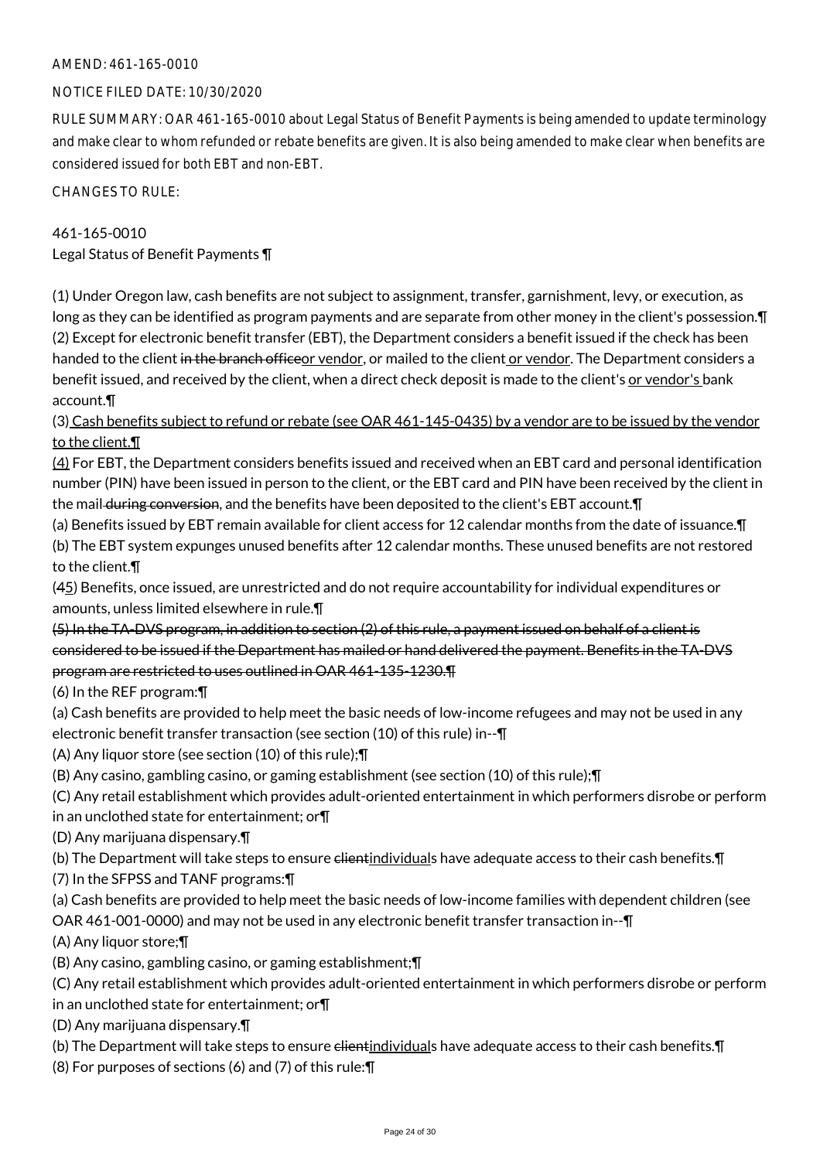## NOTICE FILED DATE: 10/30/2020

RULE SUMMARY: OAR 461-165-0010 about Legal Status of Benefit Payments is being amended to update terminology and make clear to whom refunded or rebate benefits are given. It is also being amended to make clear when benefits are considered issued for both EBT and non-EBT.

CHANGES TO RULE:

## 461-165-0010

Legal Status of Benefit Payments ¶

(1) Under Oregon law, cash benefits are not subject to assignment, transfer, garnishment, levy, or execution, as long as they can be identified as program payments and are separate from other money in the client's possession.¶ (2) Except for electronic benefit transfer (EBT), the Department considers a benefit issued if the check has been handed to the client in the branch officeor vendor, or mailed to the client or vendor. The Department considers a benefit issued, and received by the client, when a direct check deposit is made to the client's or vendor's bank account.¶

(3) Cash benefits subject to refund or rebate (see OAR 461-145-0435) by a vendor are to be issued by the vendor to the client.¶

(4) For EBT, the Department considers benefits issued and received when an EBT card and personal identification number (PIN) have been issued in person to the client, or the EBT card and PIN have been received by the client in the mail during conversion, and the benefits have been deposited to the client's EBT account. T

(a) Benefits issued by EBT remain available for client access for 12 calendar months from the date of issuance.¶ (b) The EBT system expunges unused benefits after 12 calendar months. These unused benefits are not restored to the client.¶

(45) Benefits, once issued, are unrestricted and do not require accountability for individual expenditures or amounts, unless limited elsewhere in rule.¶

(5) In the TA-DVS program, in addition to section (2) of this rule, a payment issued on behalf of a client is considered to be issued if the Department has mailed or hand delivered the payment. Benefits in the TA-DVS program are restricted to uses outlined in OAR 461-135-1230.¶

(6) In the REF program:¶

(a) Cash benefits are provided to help meet the basic needs of low-income refugees and may not be used in any electronic benefit transfer transaction (see section (10) of this rule) in--¶

(A) Any liquor store (see section (10) of this rule);¶

(B) Any casino, gambling casino, or gaming establishment (see section (10) of this rule);¶

(C) Any retail establishment which provides adult-oriented entertainment in which performers disrobe or perform

in an unclothed state for entertainment; or¶

(D) Any marijuana dispensary.¶

(b) The Department will take steps to ensure clientindividuals have adequate access to their cash benefits. [I]

(7) In the SFPSS and TANF programs:¶

(a) Cash benefits are provided to help meet the basic needs of low-income families with dependent children (see

OAR 461-001-0000) and may not be used in any electronic benefit transfer transaction in--¶

(A) Any liquor store;¶

(B) Any casino, gambling casino, or gaming establishment;¶

(C) Any retail establishment which provides adult-oriented entertainment in which performers disrobe or perform in an unclothed state for entertainment; or¶

(D) Any marijuana dispensary.¶

(b) The Department will take steps to ensure client individuals have adequate access to their cash benefits. [

(8) For purposes of sections (6) and (7) of this rule:¶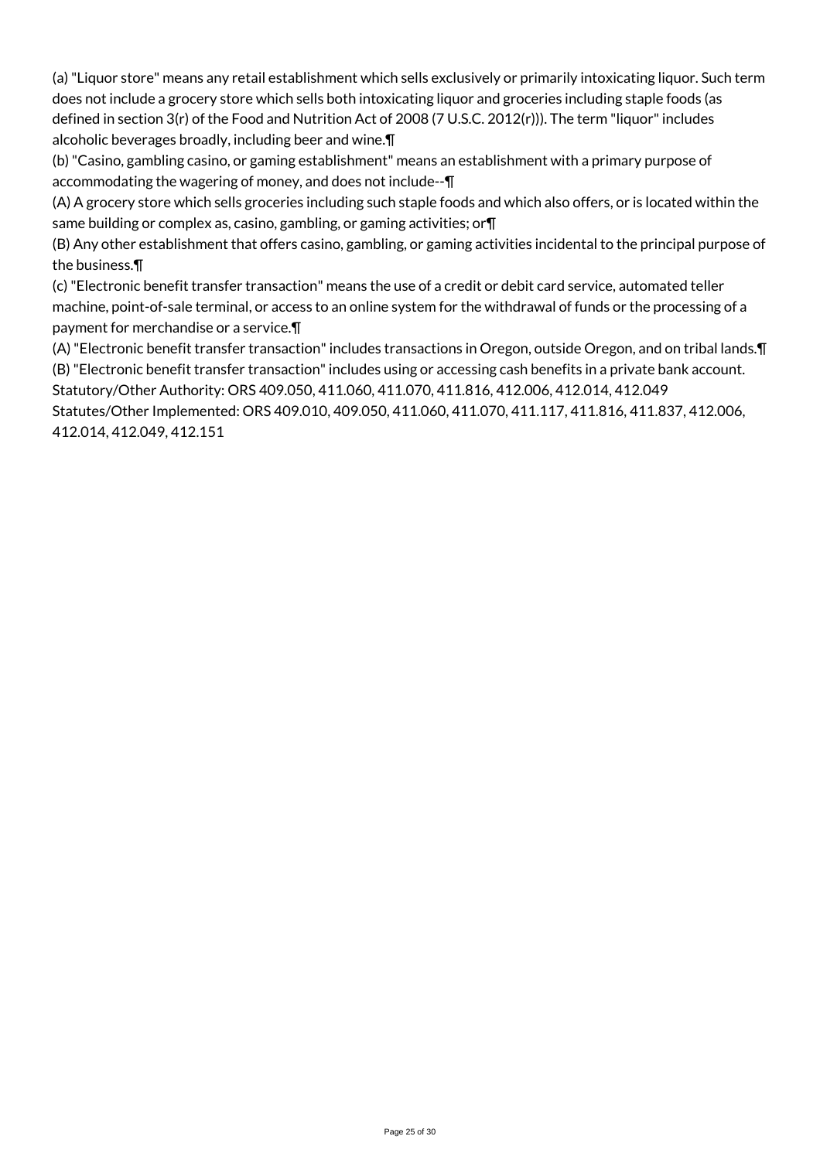(a) "Liquor store" means any retail establishment which sells exclusively or primarily intoxicating liquor. Such term does not include a grocery store which sells both intoxicating liquor and groceries including staple foods (as defined in section 3(r) of the Food and Nutrition Act of 2008 (7 U.S.C. 2012(r))). The term "liquor" includes alcoholic beverages broadly, including beer and wine.¶

(b) "Casino, gambling casino, or gaming establishment" means an establishment with a primary purpose of accommodating the wagering of money, and does not include--¶

(A) A grocery store which sells groceries including such staple foods and which also offers, or is located within the same building or complex as, casino, gambling, or gaming activities; or¶

(B) Any other establishment that offers casino, gambling, or gaming activities incidental to the principal purpose of the business.¶

(c) "Electronic benefit transfer transaction" means the use of a credit or debit card service, automated teller machine, point-of-sale terminal, or access to an online system for the withdrawal of funds or the processing of a payment for merchandise or a service.¶

(A) "Electronic benefit transfer transaction" includes transactions in Oregon, outside Oregon, and on tribal lands.¶ (B) "Electronic benefit transfer transaction" includes using or accessing cash benefits in a private bank account. Statutory/Other Authority: ORS 409.050, 411.060, 411.070, 411.816, 412.006, 412.014, 412.049

Statutes/Other Implemented: ORS 409.010, 409.050, 411.060, 411.070, 411.117, 411.816, 411.837, 412.006, 412.014, 412.049, 412.151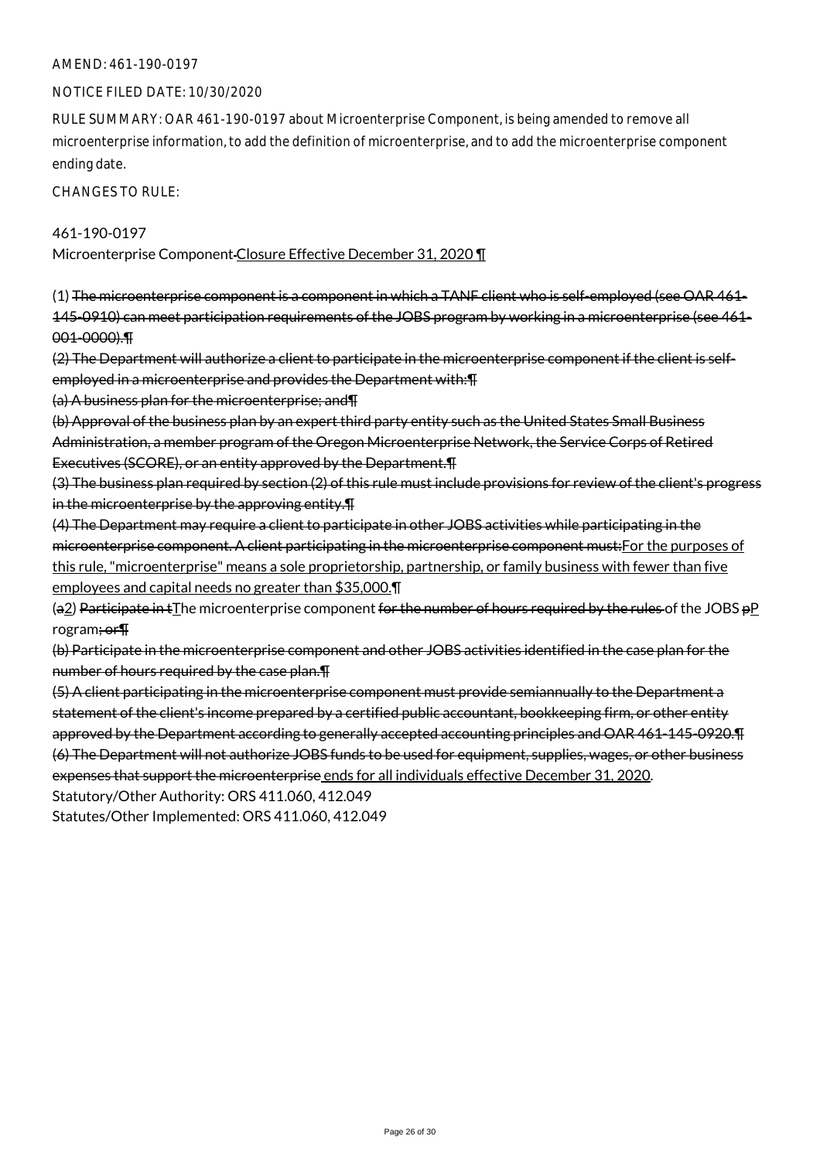#### AMEND: 461-190-0197

#### NOTICE FILED DATE: 10/30/2020

RULE SUMMARY: OAR 461-190-0197 about Microenterprise Component, is being amended to remove all microenterprise information, to add the definition of microenterprise, and to add the microenterprise component ending date.

CHANGES TO RULE:

461-190-0197

Microenterprise Component Closure Effective December 31, 2020 ¶

(1) The microenterprise component is a component in which a TANF client who is self-employed (see OAR 461- 145-0910) can meet participation requirements of the JOBS program by working in a microenterprise (see 461- 001-0000).¶

(2) The Department will authorize a client to participate in the microenterprise component if the client is selfemployed in a microenterprise and provides the Department with: [4]

(a) A business plan for the microenterprise; and¶

(b) Approval of the business plan by an expert third party entity such as the United States Small Business Administration, a member program of the Oregon Microenterprise Network, the Service Corps of Retired Executives (SCORE), or an entity approved by the Department.¶

(3) The business plan required by section (2) of this rule must include provisions for review of the client's progress in the microenterprise by the approving entity.¶

(4) The Department may require a client to participate in other JOBS activities while participating in the microenterprise component. A client participating in the microenterprise component must:For the purposes of this rule, "microenterprise" means a sole proprietorship, partnership, or family business with fewer than five employees and capital needs no greater than \$35,000.¶

(a2) Participate in  $t$ The microenterprise component for the number of hours required by the rules of the JOBS  $pP$ rogram; or¶

(b) Participate in the microenterprise component and other JOBS activities identified in the case plan for the number of hours required by the case plan.¶

(5) A client participating in the microenterprise component must provide semiannually to the Department a statement of the client's income prepared by a certified public accountant, bookkeeping firm, or other entity approved by the Department according to generally accepted accounting principles and OAR 461-145-0920.¶ (6) The Department will not authorize JOBS funds to be used for equipment, supplies, wages, or other business expenses that support the microenterprise ends for all individuals effective December 31, 2020.

Statutory/Other Authority: ORS 411.060, 412.049

Statutes/Other Implemented: ORS 411.060, 412.049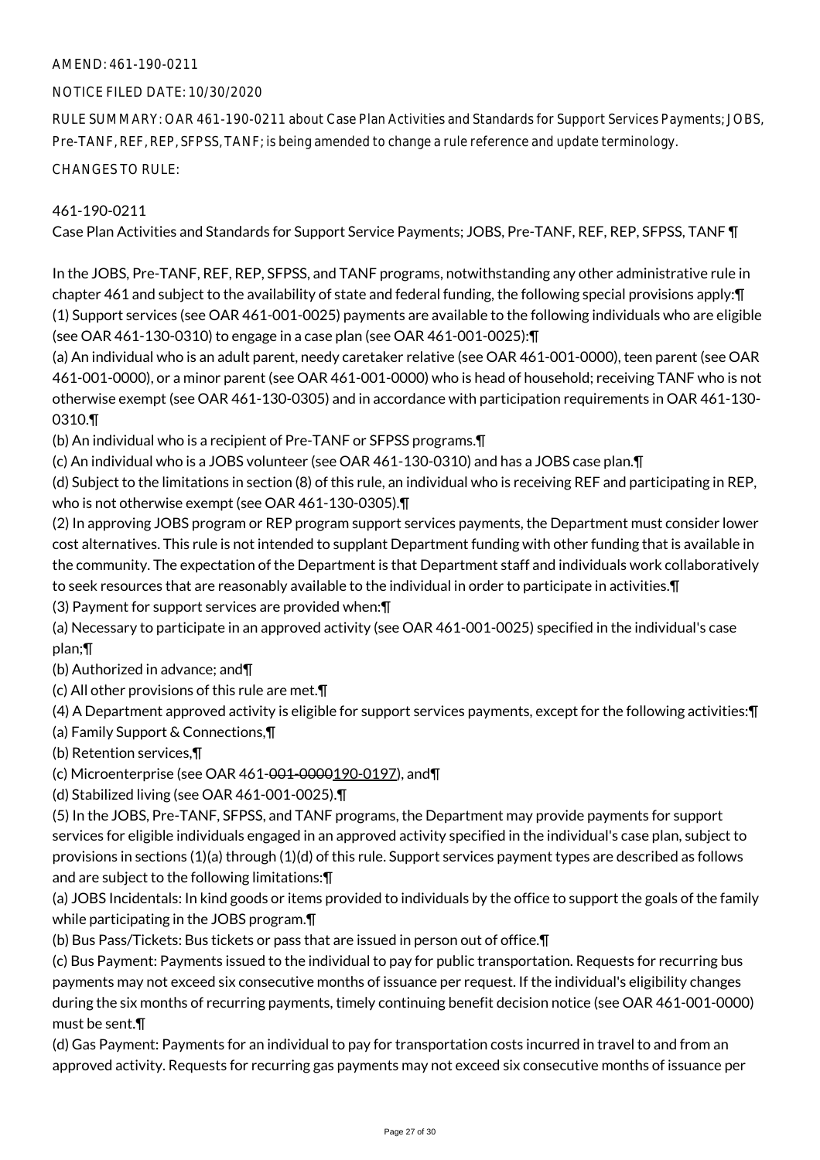## AMEND: 461-190-0211

## NOTICE FILED DATE: 10/30/2020

RULE SUMMARY: OAR 461-190-0211 about Case Plan Activities and Standards for Support Services Payments; JOBS, Pre-TANF, REF, REP, SFPSS, TANF; is being amended to change a rule reference and update terminology.

CHANGES TO RULE:

## 461-190-0211

Case Plan Activities and Standards for Support Service Payments; JOBS, Pre-TANF, REF, REP, SFPSS, TANF ¶

In the JOBS, Pre-TANF, REF, REP, SFPSS, and TANF programs, notwithstanding any other administrative rule in chapter 461 and subject to the availability of state and federal funding, the following special provisions apply:¶ (1) Support services (see OAR 461-001-0025) payments are available to the following individuals who are eligible (see OAR 461-130-0310) to engage in a case plan (see OAR 461-001-0025):¶

(a) An individual who is an adult parent, needy caretaker relative (see OAR 461-001-0000), teen parent (see OAR 461-001-0000), or a minor parent (see OAR 461-001-0000) who is head of household; receiving TANF who is not otherwise exempt (see OAR 461-130-0305) and in accordance with participation requirements in OAR 461-130- 0310.¶

(b) An individual who is a recipient of Pre-TANF or SFPSS programs.¶

(c) An individual who is a JOBS volunteer (see OAR 461-130-0310) and has a JOBS case plan.¶

(d) Subject to the limitations in section (8) of this rule, an individual who is receiving REF and participating in REP, who is not otherwise exempt (see OAR 461-130-0305).¶

(2) In approving JOBS program or REP program support services payments, the Department must consider lower cost alternatives. This rule is not intended to supplant Department funding with other funding that is available in the community. The expectation of the Department is that Department staff and individuals work collaboratively to seek resources that are reasonably available to the individual in order to participate in activities.¶

(3) Payment for support services are provided when:¶

(a) Necessary to participate in an approved activity (see OAR 461-001-0025) specified in the individual's case plan;¶

(b) Authorized in advance; and¶

(c) All other provisions of this rule are met.¶

(4) A Department approved activity is eligible for support services payments, except for the following activities:¶

(a) Family Support & Connections,¶

(b) Retention services,¶

(c) Microenterprise (see OAR 461-001-0000190-0197), and

(d) Stabilized living (see OAR 461-001-0025).¶

(5) In the JOBS, Pre-TANF, SFPSS, and TANF programs, the Department may provide payments for support services for eligible individuals engaged in an approved activity specified in the individual's case plan, subject to provisions in sections (1)(a) through (1)(d) of this rule. Support services payment types are described as follows and are subject to the following limitations:¶

(a) JOBS Incidentals: In kind goods or items provided to individuals by the office to support the goals of the family while participating in the JOBS program.¶

(b) Bus Pass/Tickets: Bus tickets or pass that are issued in person out of office.¶

(c) Bus Payment: Payments issued to the individual to pay for public transportation. Requests for recurring bus payments may not exceed six consecutive months of issuance per request. If the individual's eligibility changes during the six months of recurring payments, timely continuing benefit decision notice (see OAR 461-001-0000) must be sent.¶

(d) Gas Payment: Payments for an individual to pay for transportation costs incurred in travel to and from an approved activity. Requests for recurring gas payments may not exceed six consecutive months of issuance per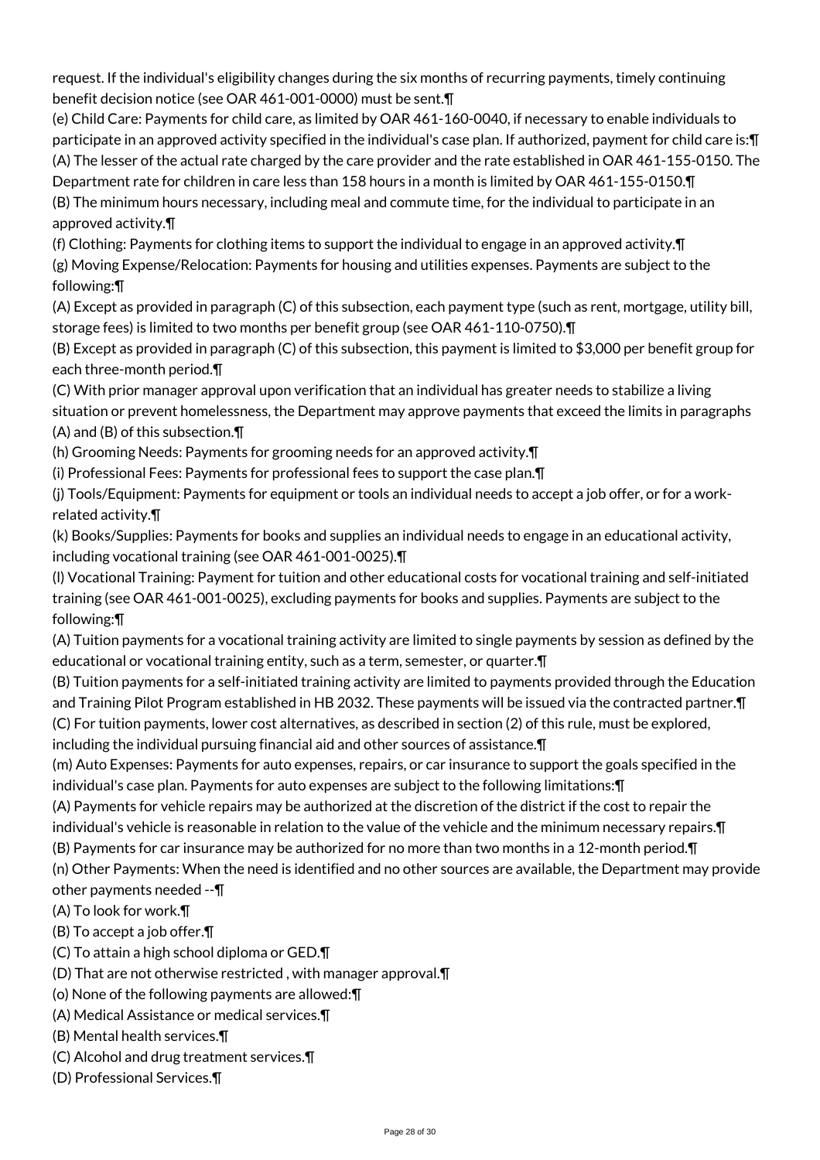request. If the individual's eligibility changes during the six months of recurring payments, timely continuing benefit decision notice (see OAR 461-001-0000) must be sent.¶

(e) Child Care: Payments for child care, as limited by OAR 461-160-0040, if necessary to enable individuals to participate in an approved activity specified in the individual's case plan. If authorized, payment for child care is: [7] (A) The lesser of the actual rate charged by the care provider and the rate established in OAR 461-155-0150. The Department rate for children in care less than 158 hours in a month is limited by OAR 461-155-0150.¶ (B) The minimum hours necessary, including meal and commute time, for the individual to participate in an

approved activity.¶

(f) Clothing: Payments for clothing items to support the individual to engage in an approved activity.¶ (g) Moving Expense/Relocation: Payments for housing and utilities expenses. Payments are subject to the following:¶

(A) Except as provided in paragraph (C) of this subsection, each payment type (such as rent, mortgage, utility bill, storage fees) is limited to two months per benefit group (see OAR 461-110-0750).¶

(B) Except as provided in paragraph (C) of this subsection, this payment is limited to \$3,000 per benefit group for each three-month period.¶

(C) With prior manager approval upon verification that an individual has greater needs to stabilize a living situation or prevent homelessness, the Department may approve payments that exceed the limits in paragraphs (A) and (B) of this subsection.¶

(h) Grooming Needs: Payments for grooming needs for an approved activity.¶

(i) Professional Fees: Payments for professional fees to support the case plan.¶

(j) Tools/Equipment: Payments for equipment or tools an individual needs to accept a job offer, or for a workrelated activity.¶

(k) Books/Supplies: Payments for books and supplies an individual needs to engage in an educational activity, including vocational training (see OAR 461-001-0025).¶

(l) Vocational Training: Payment for tuition and other educational costs for vocational training and self-initiated training (see OAR 461-001-0025), excluding payments for books and supplies. Payments are subject to the following:¶

(A) Tuition payments for a vocational training activity are limited to single payments by session as defined by the educational or vocational training entity, such as a term, semester, or quarter.¶

(B) Tuition payments for a self-initiated training activity are limited to payments provided through the Education and Training Pilot Program established in HB 2032. These payments will be issued via the contracted partner.¶ (C) For tuition payments, lower cost alternatives, as described in section (2) of this rule, must be explored, including the individual pursuing financial aid and other sources of assistance.¶

(m) Auto Expenses: Payments for auto expenses, repairs, or car insurance to support the goals specified in the individual's case plan. Payments for auto expenses are subject to the following limitations:¶

(A) Payments for vehicle repairs may be authorized at the discretion of the district if the cost to repair the individual's vehicle is reasonable in relation to the value of the vehicle and the minimum necessary repairs.¶

(B) Payments for car insurance may be authorized for no more than two months in a 12-month period.¶

(n) Other Payments: When the need is identified and no other sources are available, the Department may provide

other payments needed --¶ (A) To look for work.¶

(B) To accept a job offer.¶

- (C) To attain a high school diploma or GED.¶
- (D) That are not otherwise restricted , with manager approval.¶
- (o) None of the following payments are allowed:¶
- (A) Medical Assistance or medical services.¶
- (B) Mental health services.¶
- (C) Alcohol and drug treatment services.¶
- (D) Professional Services.¶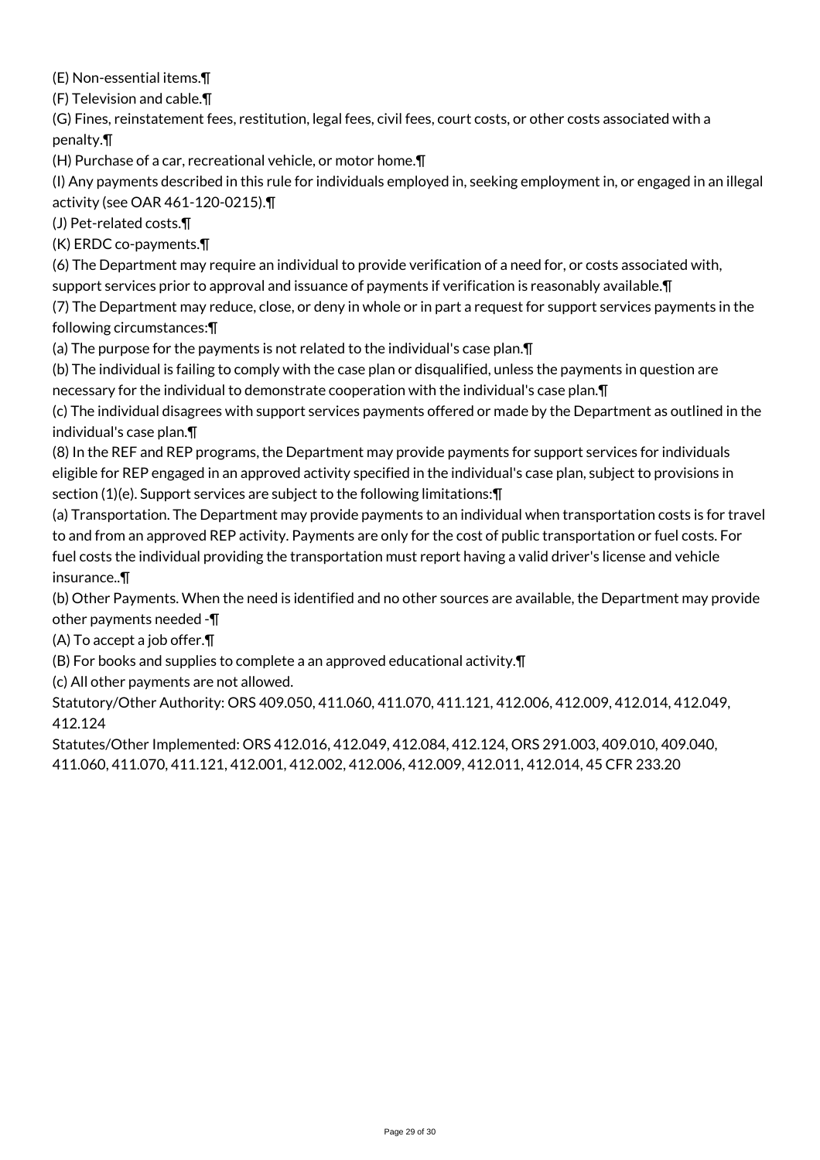(E) Non-essential items.¶

(F) Television and cable.¶

(G) Fines, reinstatement fees, restitution, legal fees, civil fees, court costs, or other costs associated with a penalty.¶

(H) Purchase of a car, recreational vehicle, or motor home.¶

(I) Any payments described in this rule for individuals employed in, seeking employment in, or engaged in an illegal activity (see OAR 461-120-0215).¶

(J) Pet-related costs.¶

(K) ERDC co-payments.¶

(6) The Department may require an individual to provide verification of a need for, or costs associated with,

support services prior to approval and issuance of payments if verification is reasonably available. [1]

(7) The Department may reduce, close, or deny in whole or in part a request for support services payments in the following circumstances:¶

(a) The purpose for the payments is not related to the individual's case plan.¶

(b) The individual is failing to comply with the case plan or disqualified, unless the payments in question are necessary for the individual to demonstrate cooperation with the individual's case plan.¶

(c) The individual disagrees with support services payments offered or made by the Department as outlined in the individual's case plan.¶

(8) In the REF and REP programs, the Department may provide payments for support services for individuals eligible for REP engaged in an approved activity specified in the individual's case plan, subject to provisions in section (1)(e). Support services are subject to the following limitations:¶

(a) Transportation. The Department may provide payments to an individual when transportation costs is for travel to and from an approved REP activity. Payments are only for the cost of public transportation or fuel costs. For fuel costs the individual providing the transportation must report having a valid driver's license and vehicle insurance..¶

(b) Other Payments. When the need is identified and no other sources are available, the Department may provide other payments needed -¶

(A) To accept a job offer.¶

(B) For books and supplies to complete a an approved educational activity.¶

(c) All other payments are not allowed.

Statutory/Other Authority: ORS 409.050, 411.060, 411.070, 411.121, 412.006, 412.009, 412.014, 412.049, 412.124

Statutes/Other Implemented: ORS 412.016, 412.049, 412.084, 412.124, ORS 291.003, 409.010, 409.040, 411.060, 411.070, 411.121, 412.001, 412.002, 412.006, 412.009, 412.011, 412.014, 45 CFR 233.20